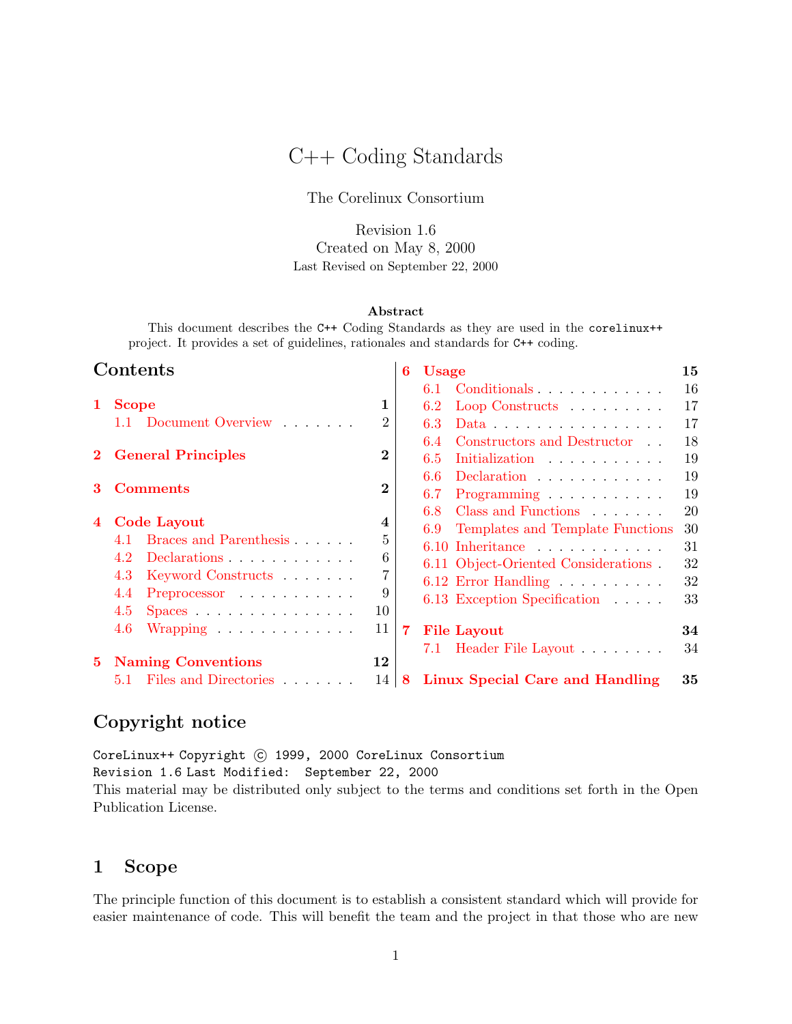# C++ Coding Standards

The Corelinux Consortium

Revision 1.6 Created on May 8, 2000 Last Revised on September 22, 2000

#### Abstract

This document describes the C++ Coding Standards as they are used in the corelinux++ project. It provides a set of guidelines, rationales and standards for C++ coding.

| Contents       |                                                    | 6              | <b>Usage</b> |                                                  |    |
|----------------|----------------------------------------------------|----------------|--------------|--------------------------------------------------|----|
|                |                                                    |                |              | Conditionals<br>6.1                              | 16 |
| 1              | <b>Scope</b>                                       | 1              |              | 6.2<br>Loop Constructs $\ldots \ldots$           | 17 |
|                | 1.1 Document Overview                              | $\overline{2}$ |              | 6.3<br>Data $\ldots \ldots \ldots \ldots \ldots$ | 17 |
|                |                                                    |                |              | Constructors and Destructor<br>6.4               | 18 |
| $\mathbf{2}^-$ | <b>General Principles</b>                          | $\bf{2}$       |              | Initialization<br>6.5                            | 19 |
|                |                                                    | $\bf{2}$       |              | 6.6<br>Declaration                               | 19 |
|                | <b>Comments</b>                                    |                |              | 6.7<br>Programming                               | 19 |
|                |                                                    |                |              | Class and Functions<br>6.8                       | 20 |
| $\overline{4}$ | Code Layout                                        | 4              |              | Templates and Template Functions<br>6.9          | 30 |
|                | Braces and Parenthesis<br>4.1                      | 5              |              | $6.10$ Inheritance                               | 31 |
|                | 4.2<br>Declarations                                | 6              |              | 6.11 Object-Oriented Considerations.             | 32 |
|                | 4.3<br>Keyword Constructs                          | 7              |              | 6.12 Error Handling                              | 32 |
|                | 4.4<br>Preprocessor                                | 9              |              | 6.13 Exception Specification                     | 33 |
|                | 4.5<br>$Spaces \ldots \ldots \ldots \ldots \ldots$ | 10             |              |                                                  |    |
|                | 4.6<br>Wrapping $\ldots \ldots \ldots \ldots$      | 11             | 7            | <b>File Layout</b>                               | 34 |
|                |                                                    |                |              | 7.1 Header File Layout                           | 34 |
| 5.             | <b>Naming Conventions</b>                          | 12             |              |                                                  |    |
|                | 5.1 Files and Directories                          | 14             | 8            | Linux Special Care and Handling                  | 35 |

# Copyright notice

CoreLinux++ Copyright (C) 1999, 2000 CoreLinux Consortium Revision 1.6 Last Modified: September 22, 2000 This material may be distributed only subject to the terms and conditions set forth in the Open Publication License.

# <span id="page-0-0"></span>1 Scope

The principle function of this document is to establish a consistent standard which will provide for easier maintenance of code. This will benefit the team and the project in that those who are new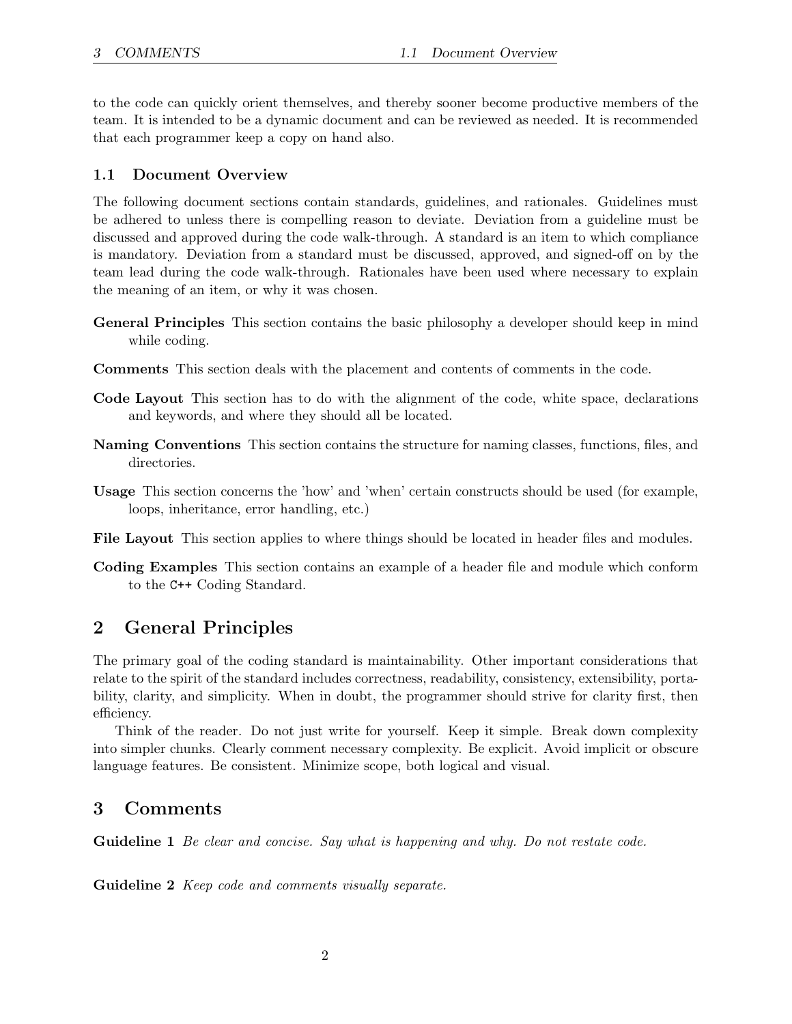to the code can quickly orient themselves, and thereby sooner become productive members of the team. It is intended to be a dynamic document and can be reviewed as needed. It is recommended that each programmer keep a copy on hand also.

#### <span id="page-1-0"></span>1.1 Document Overview

The following document sections contain standards, guidelines, and rationales. Guidelines must be adhered to unless there is compelling reason to deviate. Deviation from a guideline must be discussed and approved during the code walk-through. A standard is an item to which compliance is mandatory. Deviation from a standard must be discussed, approved, and signed-off on by the team lead during the code walk-through. Rationales have been used where necessary to explain the meaning of an item, or why it was chosen.

- General Principles This section contains the basic philosophy a developer should keep in mind while coding.
- Comments This section deals with the placement and contents of comments in the code.
- Code Layout This section has to do with the alignment of the code, white space, declarations and keywords, and where they should all be located.
- Naming Conventions This section contains the structure for naming classes, functions, files, and directories.
- Usage This section concerns the 'how' and 'when' certain constructs should be used (for example, loops, inheritance, error handling, etc.)
- File Layout This section applies to where things should be located in header files and modules.
- Coding Examples This section contains an example of a header file and module which conform to the C++ Coding Standard.

# <span id="page-1-1"></span>2 General Principles

The primary goal of the coding standard is maintainability. Other important considerations that relate to the spirit of the standard includes correctness, readability, consistency, extensibility, portability, clarity, and simplicity. When in doubt, the programmer should strive for clarity first, then efficiency.

Think of the reader. Do not just write for yourself. Keep it simple. Break down complexity into simpler chunks. Clearly comment necessary complexity. Be explicit. Avoid implicit or obscure language features. Be consistent. Minimize scope, both logical and visual.

### <span id="page-1-2"></span>3 Comments

Guideline 1 Be clear and concise. Say what is happening and why. Do not restate code.

Guideline 2 *Keep code and comments visually separate.*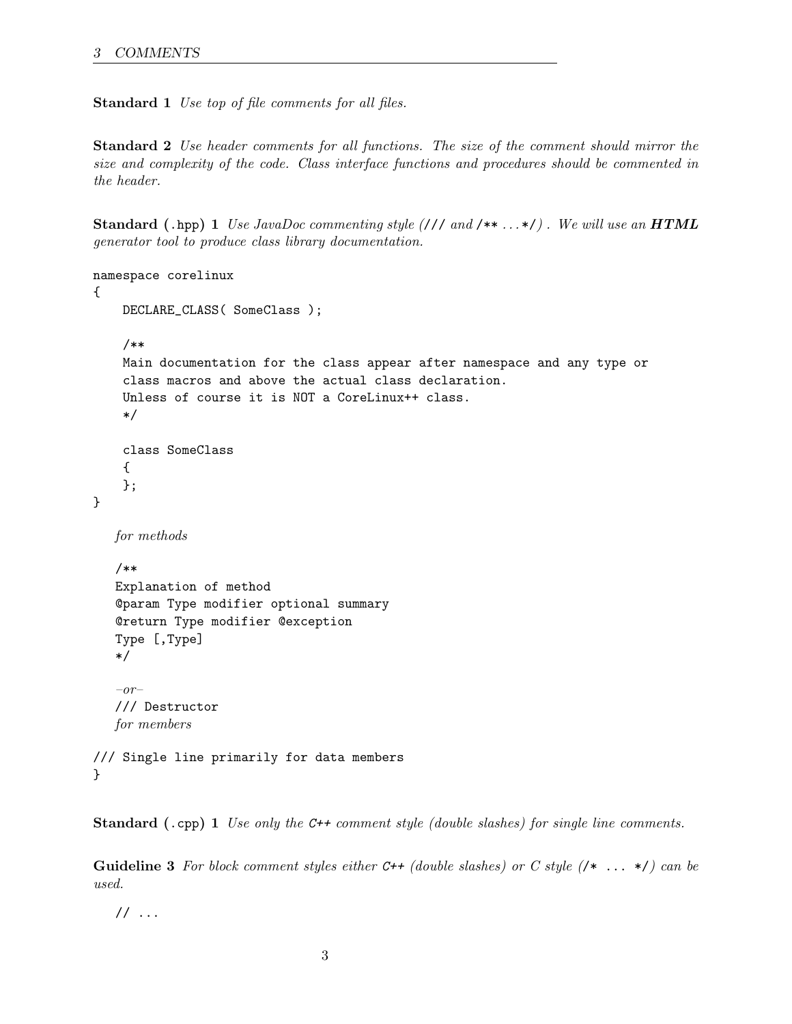Standard 1 Use top of file comments for all files.

Standard 2 Use header comments for all functions. The size of the comment should mirror the size and complexity of the code. Class interface functions and procedures should be commented in the header.

**Standard (.hpp) 1** Use JavaDoc commenting style  $\left(\frac{1}{1} \text{ and } \frac{1}{1} \cdot \cdot \cdot \cdot \cdot\right)$ . We will use an **HTML** generator tool to produce class library documentation.

```
namespace corelinux
{
    DECLARE_CLASS( SomeClass );
    /**
    Main documentation for the class appear after namespace and any type or
    class macros and above the actual class declaration.
    Unless of course it is NOT a CoreLinux++ class.
    */
    class SomeClass
    {
    };
}
  for methods
  /**
  Explanation of method
  @param Type modifier optional summary
  @return Type modifier @exception
  Type [,Type]
  */
   -or-/// Destructor
  for members
/// Single line primarily for data members
}
```
Standard (.cpp) 1 Use only the C++ comment style (double slashes) for single line comments.

**Guideline 3** For block comment styles either C++ (double slashes) or C style  $(\nmid * \ldots * \nmid)$  can be used.

 $// \dots$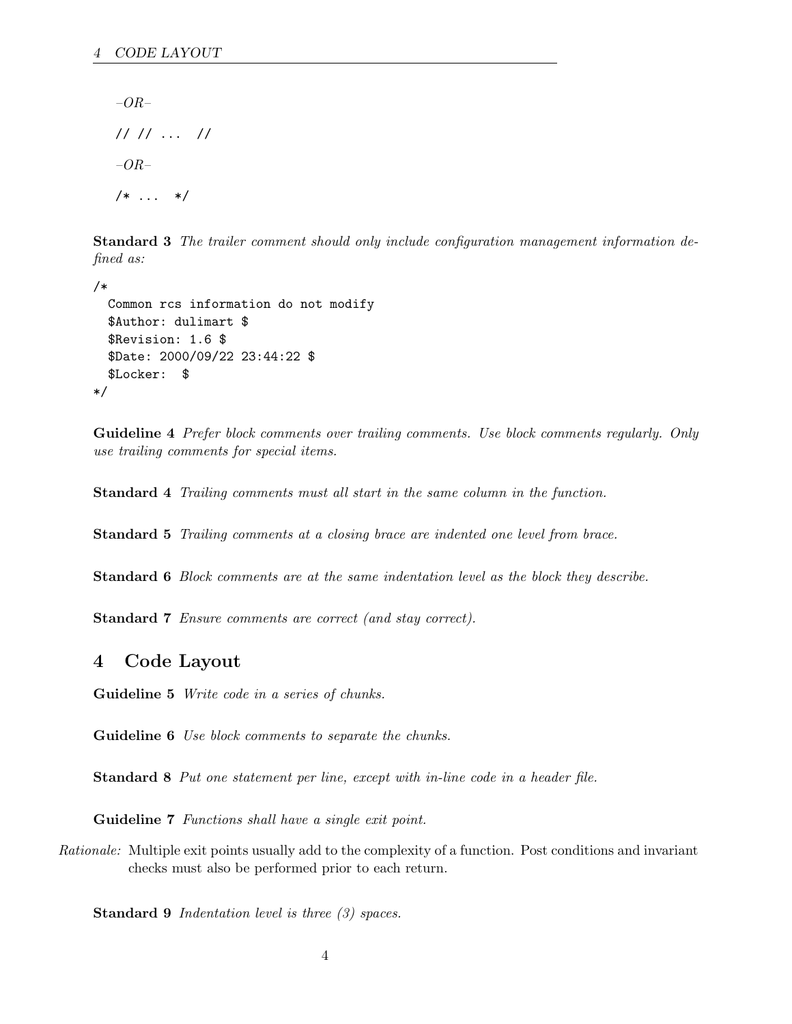–OR– // // ... // –OR– /\* ... \*/

Standard 3 The trailer comment should only include configuration management information defined as:

```
/*
  Common rcs information do not modify
  $Author: dulimart $
  $Revision: 1.6 $
  $Date: 2000/09/22 23:44:22 $
  $Locker: $
*/
```
Guideline 4 Prefer block comments over trailing comments. Use block comments regularly. Only use trailing comments for special items.

Standard 4 Trailing comments must all start in the same column in the function.

Standard 5 Trailing comments at a closing brace are indented one level from brace.

Standard 6 Block comments are at the same indentation level as the block they describe.

Standard 7 Ensure comments are correct (and stay correct).

### <span id="page-3-0"></span>4 Code Layout

Guideline 5 Write code in a series of chunks.

Guideline 6 Use block comments to separate the chunks.

Standard 8 Put one statement per line, except with in-line code in a header file.

Guideline 7 Functions shall have a single exit point.

Rationale: Multiple exit points usually add to the complexity of a function. Post conditions and invariant checks must also be performed prior to each return.

Standard 9 *Indentation level is three (3) spaces.*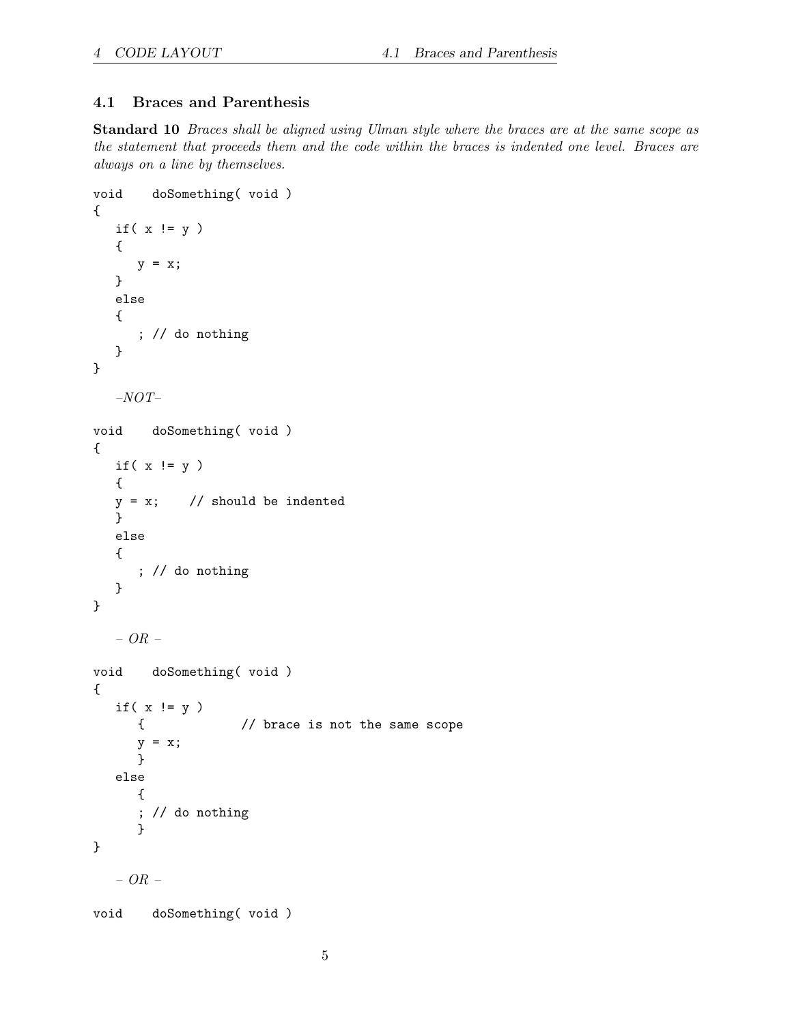# <span id="page-4-0"></span>4.1 Braces and Parenthesis

Standard 10 Braces shall be aligned using Ulman style where the braces are at the same scope as the statement that proceeds them and the code within the braces is indented one level. Braces are always on a line by themselves.

```
void doSomething( void )
{
  if(x := y)
  {
     y = x;}
  else
  {
     ; // do nothing
  }
}
  –NOT–
void doSomething( void )
{
  if(x := y)
  {
  y = x; // should be indented
  }
  else
  {
     ; // do nothing
  }
}
  – OR –
void doSomething( void )
{
  if(x := y)
     { // brace is not the same scope
     y = x;}
  else
     {
     ; // do nothing
     }
}
  – OR –
void doSomething( void )
```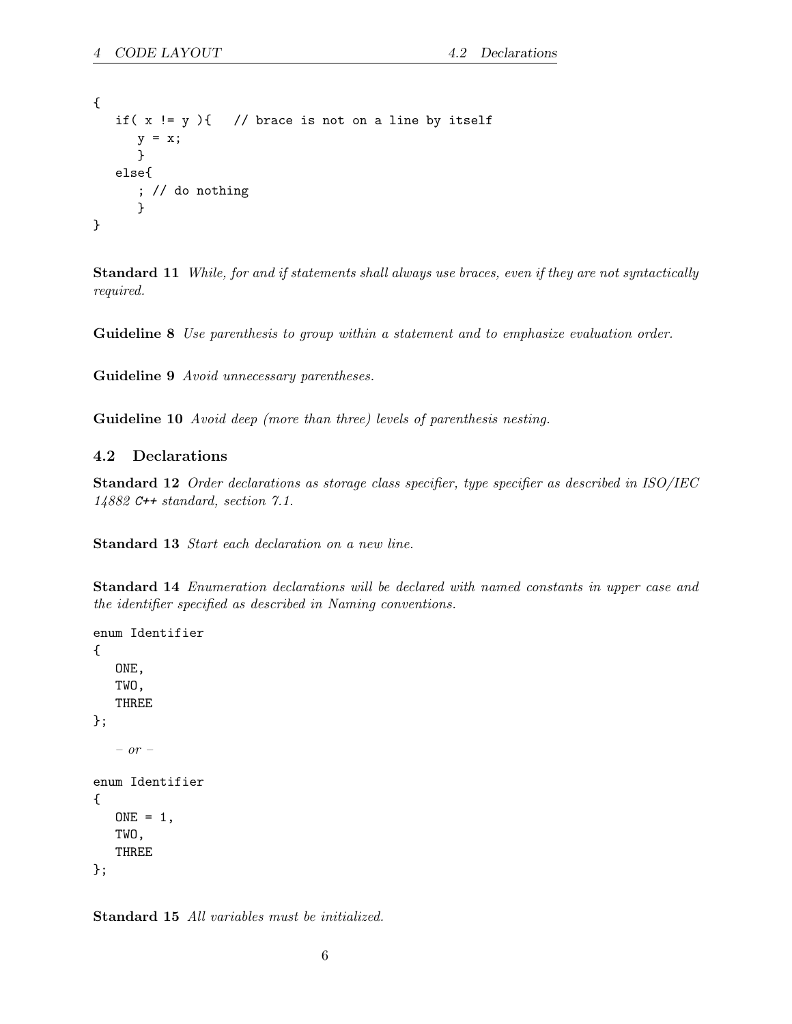```
{
   if(x := y){ // brace is not on a line by itself
      y = x;}
  else{
      ; // do nothing
      }
}
```
Standard 11 While, for and if statements shall always use braces, even if they are not syntactically required.

Guideline 8 Use parenthesis to group within a statement and to emphasize evaluation order.

Guideline 9 Avoid unnecessary parentheses.

Guideline 10 Avoid deep (more than three) levels of parenthesis nesting.

#### <span id="page-5-0"></span>4.2 Declarations

Standard 12 Order declarations as storage class specifier, type specifier as described in ISO/IEC 14882 C++ standard, section 7.1.

Standard 13 Start each declaration on a new line.

Standard 14 Enumeration declarations will be declared with named constants in upper case and the identifier specified as described in Naming conventions.

```
enum Identifier
{
   ONE,
   TWO,
   THREE
};
   – or –
enum Identifier
{
   ONE = 1,
   TWO,
   THREE
};
```
Standard 15 All variables must be initialized.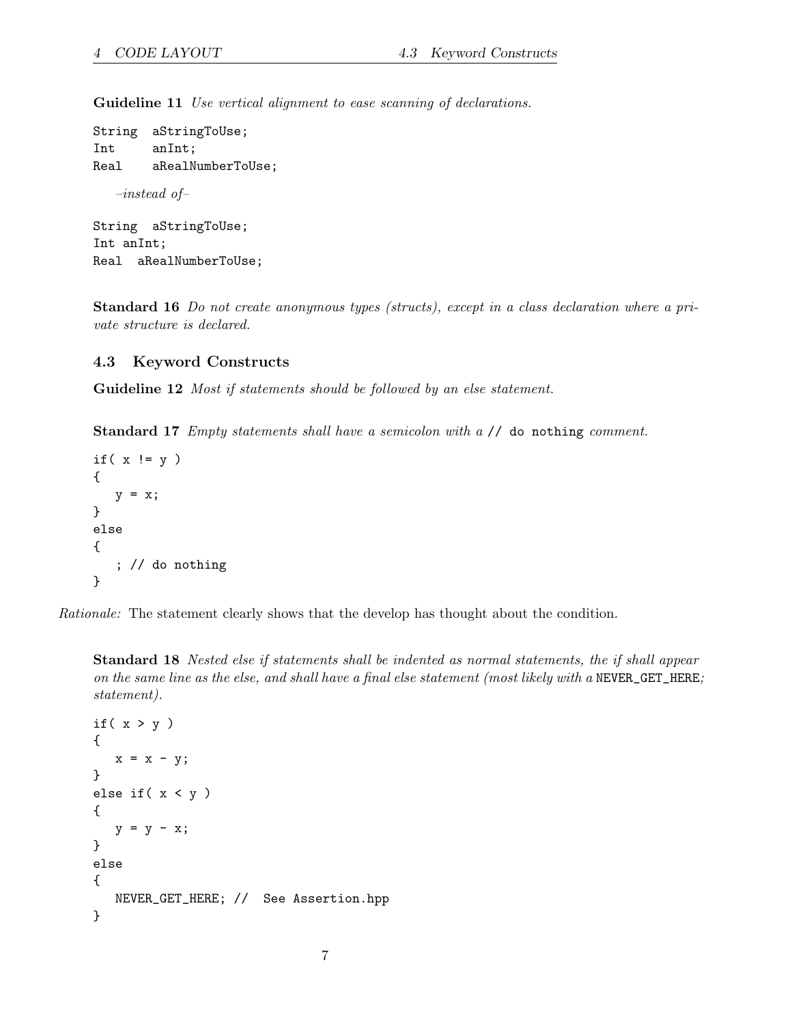Guideline 11 Use vertical alignment to ease scanning of declarations.

```
String aStringToUse;
Int anInt;
Real aRealNumberToUse;
   –instead of–
String aStringToUse;
Int anInt;
Real aRealNumberToUse;
```
Standard 16 Do not create anonymous types (structs), except in a class declaration where a private structure is declared.

#### <span id="page-6-0"></span>4.3 Keyword Constructs

Guideline 12 *Most if statements should be followed by an else statement.* 

Standard 17 Empty statements shall have a semicolon with a // do nothing comment.

```
if(x := y)
{
   y = x;}
else
{
   ; // do nothing
}
```
Rationale: The statement clearly shows that the develop has thought about the condition.

Standard 18 Nested else if statements shall be indented as normal statements, the if shall appear on the same line as the else, and shall have a final else statement (most likely with a NEVER\_GET\_HERE; statement).

```
if(x > y)
{
  x = x - y;}
else if(x < y)
{
  y = y - x;}
else
{
  NEVER_GET_HERE; // See Assertion.hpp
}
```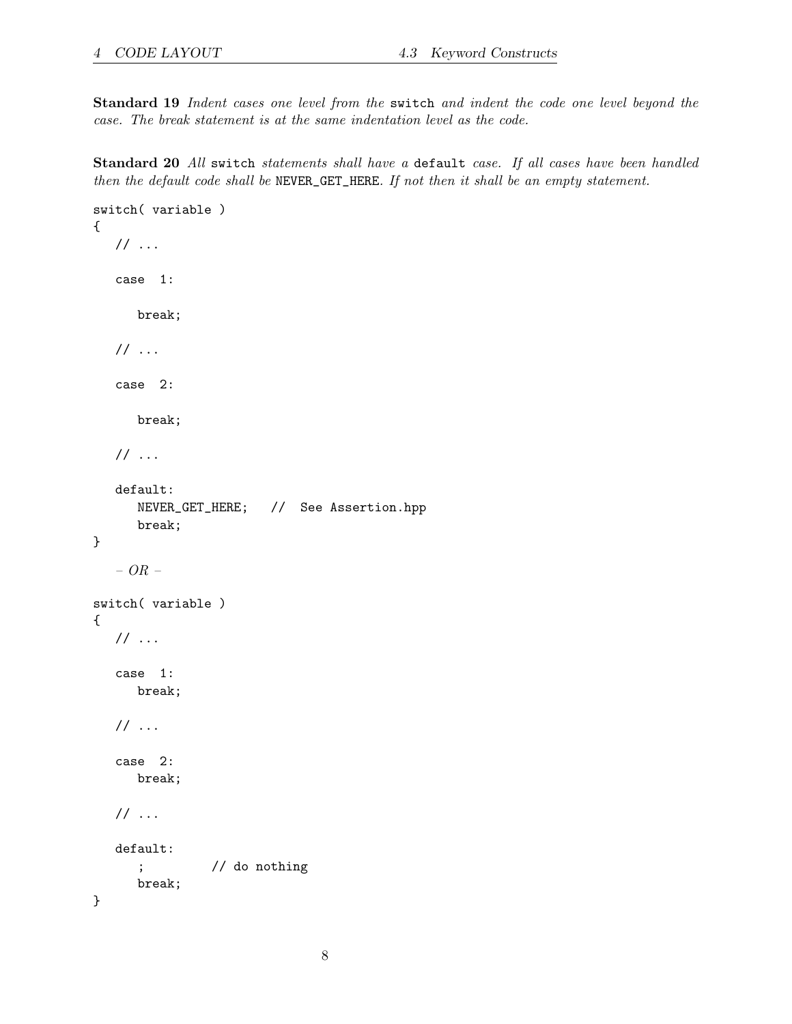Standard 19 Indent cases one level from the switch and indent the code one level beyond the case. The break statement is at the same indentation level as the code.

Standard 20 All switch statements shall have a default case. If all cases have been handled then the default code shall be NEVER\_GET\_HERE. If not then it shall be an empty statement.

```
switch( variable )
{
   // ...
   case 1:
     break;
   // ...
   case 2:
      break;
   // ...
   default:
      NEVER_GET_HERE; // See Assertion.hpp
      break;
}
   – OR –
switch( variable )
{
   // ...
   case 1:
     break;
   // ...
   case 2:
     break;
   // ...
   default:
      ; // do nothing
      break;
}
```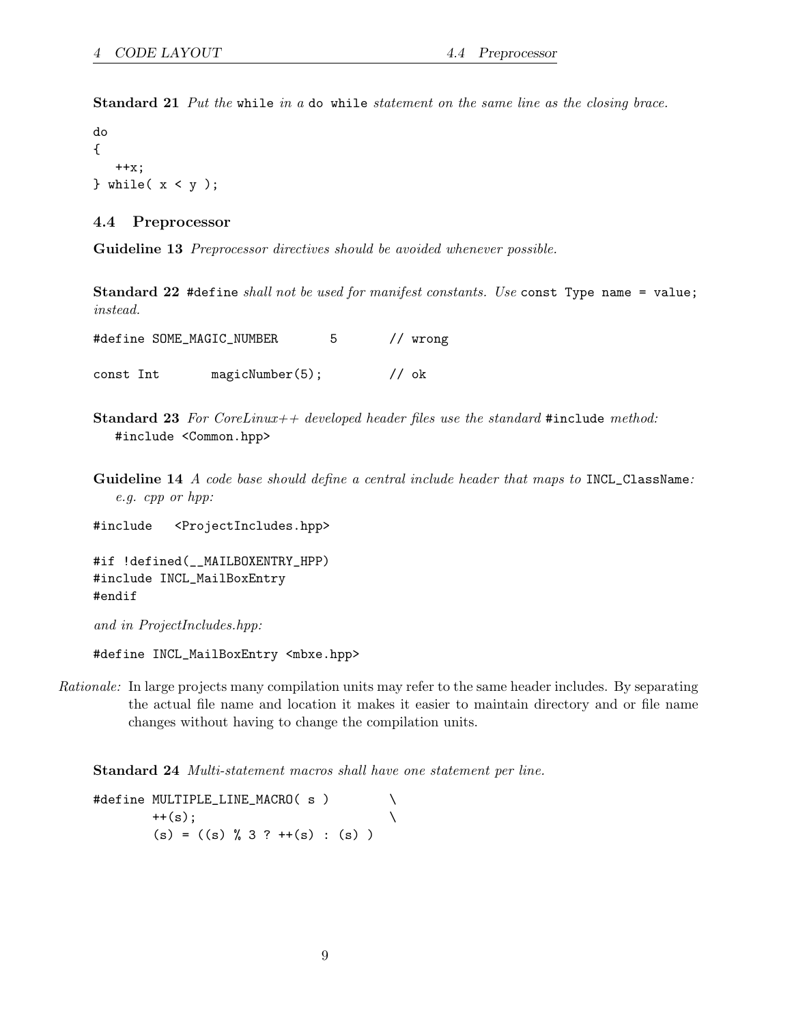Standard 21 Put the while in a do while statement on the same line as the closing brace.

do { ++x;  $}$  while(  $x < y$  );

#### <span id="page-8-0"></span>4.4 Preprocessor

Guideline 13 Preprocessor directives should be avoided whenever possible.

Standard 22 #define shall not be used for manifest constants. Use const Type name = value; instead.

|           | #define SOME_MAGIC_NUMBER | 5 |       | // wrong |
|-----------|---------------------------|---|-------|----------|
| const Int | magicNumber(5);           |   | // ok |          |

- **Standard 23** For CoreLinux++ developed header files use the standard #include method: #include <Common.hpp>
- Guideline 14 A code base should define a central include header that maps to INCL\_ClassName: e.g. cpp or hpp:

#include <ProjectIncludes.hpp>

```
#if !defined(__MAILBOXENTRY_HPP)
#include INCL_MailBoxEntry
#endif
```
and in ProjectIncludes.hpp:

#define INCL\_MailBoxEntry <mbxe.hpp>

Rationale: In large projects many compilation units may refer to the same header includes. By separating the actual file name and location it makes it easier to maintain directory and or file name changes without having to change the compilation units.

Standard 24 Multi-statement macros shall have one statement per line.

#define MULTIPLE\_LINE\_MACRO( s ) \  $++(s)$ ;  $(s) = ((s) % 3 ? ++(s) : (s) )$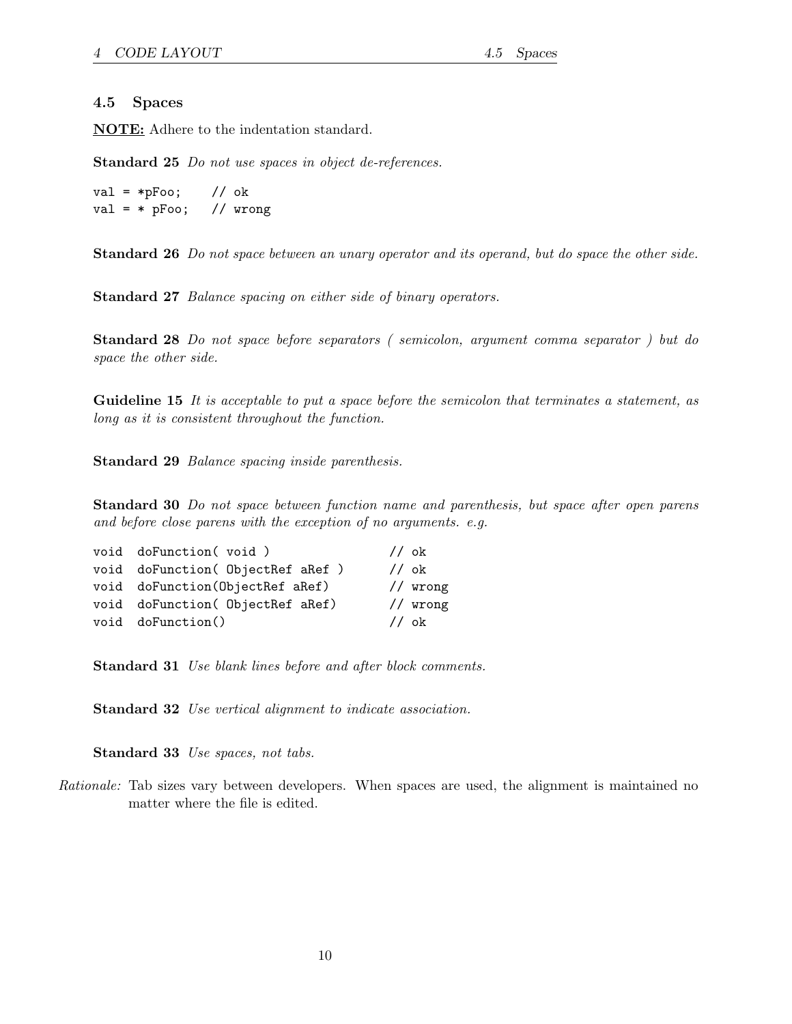#### <span id="page-9-0"></span>4.5 Spaces

NOTE: Adhere to the indentation standard.

Standard 25 Do not use spaces in object de-references.

val =  $*pFoo$ ; // ok val =  $*$  pFoo; // wrong

Standard 26 Do not space between an unary operator and its operand, but do space the other side.

Standard 27 Balance spacing on either side of binary operators.

Standard 28 Do not space before separators ( semicolon, argument comma separator ) but do space the other side.

Guideline 15 It is acceptable to put a space before the semicolon that terminates a statement, as long as it is consistent throughout the function.

Standard 29 Balance spacing inside parenthesis.

Standard 30 Do not space between function name and parenthesis, but space after open parens and before close parens with the exception of no arguments. e.g.

| void doFunction(void)             | // ok                 |
|-----------------------------------|-----------------------|
| void doFunction( ObjectRef aRef ) | // ok                 |
| void doFunction(ObjectRef aRef)   | $//$ wrong            |
| void doFunction( ObjectRef aRef)  | $//$ wrong            |
| void doFunction()                 | $\frac{7}{\text{ok}}$ |
|                                   |                       |

Standard 31 Use blank lines before and after block comments.

Standard 32 Use vertical alignment to indicate association.

Standard 33 Use spaces, not tabs.

Rationale: Tab sizes vary between developers. When spaces are used, the alignment is maintained no matter where the file is edited.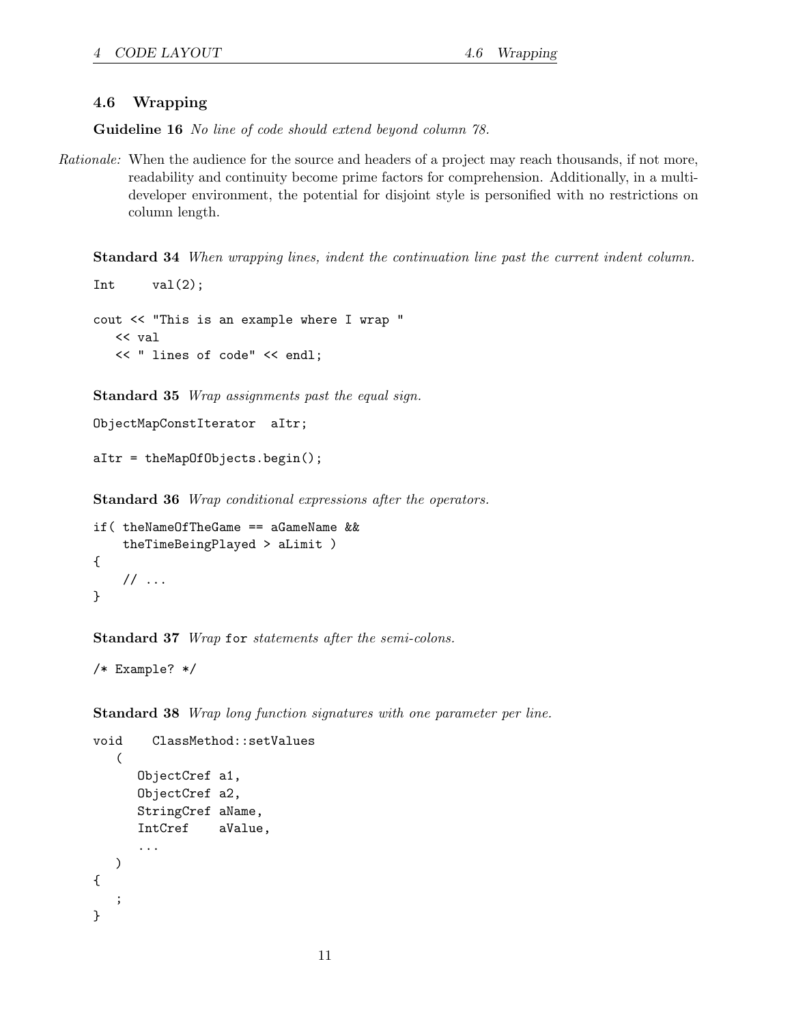#### <span id="page-10-0"></span>4.6 Wrapping

Guideline 16 No line of code should extend beyond column 78.

Rationale: When the audience for the source and headers of a project may reach thousands, if not more, readability and continuity become prime factors for comprehension. Additionally, in a multideveloper environment, the potential for disjoint style is personified with no restrictions on column length.

Standard 34 When wrapping lines, indent the continuation line past the current indent column.

```
Int val(2);
cout << "This is an example where I wrap "
  << val
  << " lines of code" << endl;
```
Standard 35 Wrap assignments past the equal sign.

```
ObjectMapConstIterator aItr;
```

```
aItr = theMapOfObjects.begin();
```
Standard 36 Wrap conditional expressions after the operators.

```
if( theNameOfTheGame == aGameName &&
    theTimeBeingPlayed > aLimit )
{
    // ...
}
```
Standard 37 Wrap for statements after the semi-colons.

```
/* Example? */
```
Standard 38 Wrap long function signatures with one parameter per line.

```
void ClassMethod::setValues
   (
      ObjectCref a1,
      ObjectCref a2,
      StringCref aName,
      IntCref aValue,
      ...
  )
{
   ;
}
```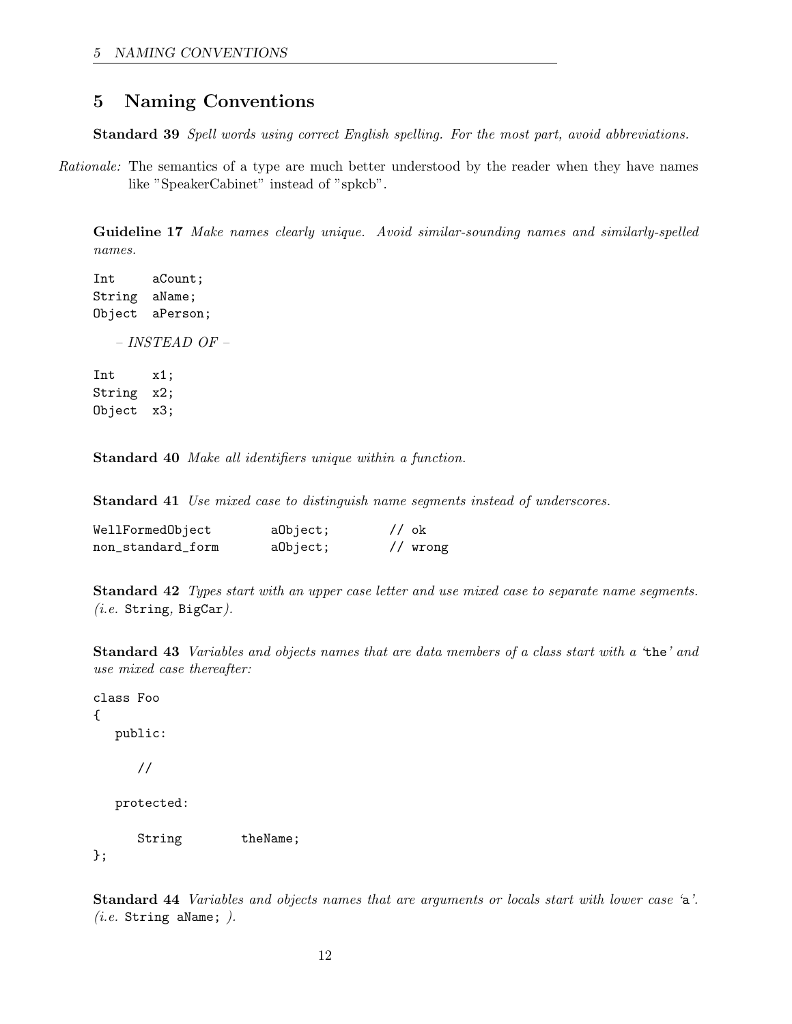# <span id="page-11-0"></span>5 Naming Conventions

Standard 39 Spell words using correct English spelling. For the most part, avoid abbreviations.

Rationale: The semantics of a type are much better understood by the reader when they have names like "SpeakerCabinet" instead of "spkcb".

Guideline 17 Make names clearly unique. Avoid similar-sounding names and similarly-spelled names.

Int aCount; String aName; Object aPerson; – INSTEAD OF – Int x1; String x2; Object x3;

Standard 40 Make all identifiers unique within a function.

Standard 41 Use mixed case to distinguish name segments instead of underscores.

| WellFormedObject  | a0bject; | // ok |          |
|-------------------|----------|-------|----------|
| non_standard_form | a0bject; |       | // wrong |

Standard 42 Types start with an upper case letter and use mixed case to separate name segments.  $(i.e.$  String, BigCar).

Standard 43 Variables and objects names that are data members of a class start with a 'the' and use mixed case thereafter:

```
class Foo
{
  public:
     //
  protected:
     String theName;
};
```
Standard 44 Variables and objects names that are arguments or locals start with lower case 'a'.  $(i.e.$  String aName;  $).$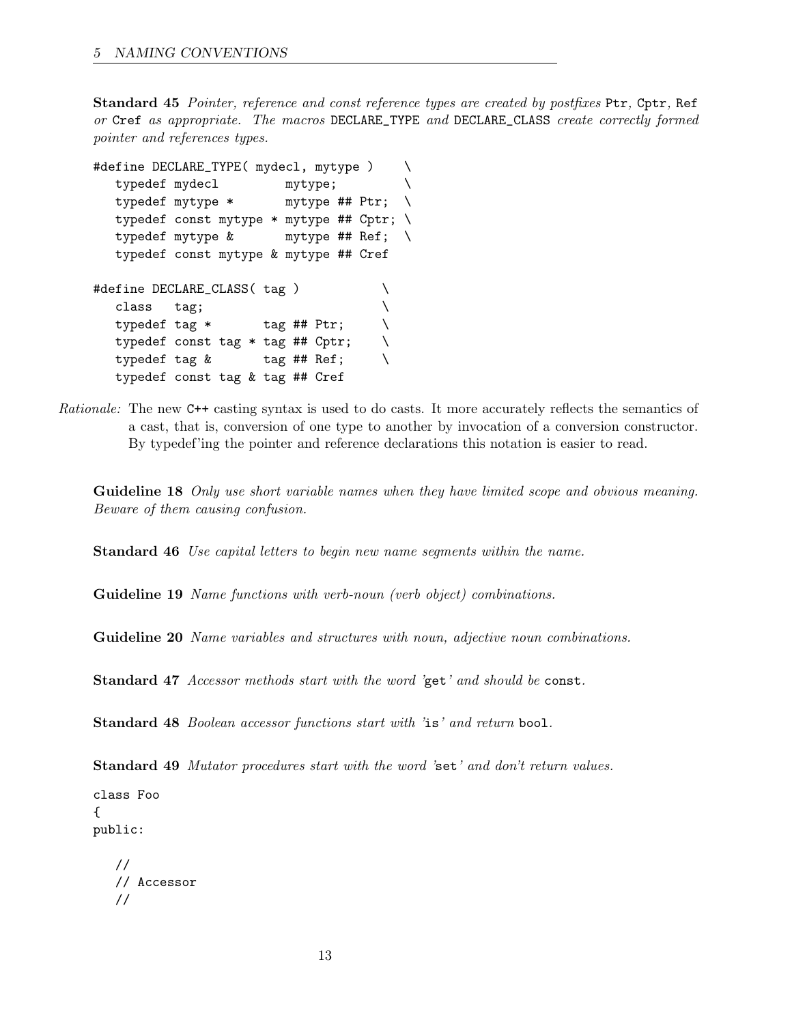Standard 45 Pointer, reference and const reference types are created by postfixes Ptr, Cptr, Ref or Cref as appropriate. The macros DECLARE\_TYPE and DECLARE\_CLASS create correctly formed pointer and references types.

```
#define DECLARE_TYPE( mydecl, mytype ) \
  typedef mydecl mytype; \setminustypedef mytype * mytype ## Ptr; \
  typedef const mytype * mytype ## Cptr; \
  typedef mytype & mytype ## Ref; \
  typedef const mytype & mytype ## Cref
#define DECLARE_CLASS( tag ) \
  class tag;
  typedef tag * tag ## Ptr; \
  typedef const tag * tag ## Cptr; \
  typedef tag \& tag ## Ref; \setminustypedef const tag & tag ## Cref
```
Rationale: The new C++ casting syntax is used to do casts. It more accurately reflects the semantics of a cast, that is, conversion of one type to another by invocation of a conversion constructor. By typedef'ing the pointer and reference declarations this notation is easier to read.

Guideline 18 Only use short variable names when they have limited scope and obvious meaning. Beware of them causing confusion.

Standard 46 Use capital letters to begin new name segments within the name.

Guideline 19 Name functions with verb-noun (verb object) combinations.

Guideline 20 Name variables and structures with noun, adjective noun combinations.

Standard 47 Accessor methods start with the word 'get' and should be const.

Standard 48 Boolean accessor functions start with 'is' and return bool.

Standard 49 Mutator procedures start with the word 'set' and don't return values.

class Foo { public:

```
//
// Accessor
//
```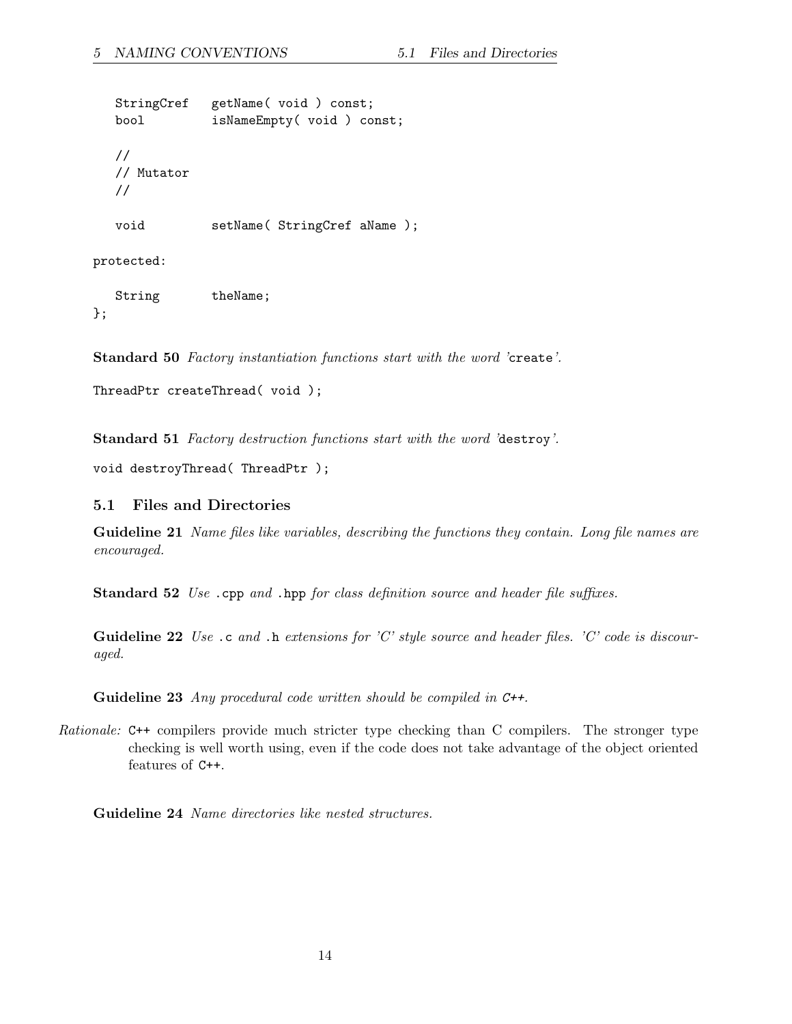StringCref getName( void ) const; bool isNameEmpty( void ) const; // // Mutator // void setName( StringCref aName );

protected:

String theName; };

Standard 50 Factory instantiation functions start with the word 'create'.

```
ThreadPtr createThread( void );
```
Standard 51 Factory destruction functions start with the word 'destroy'.

void destroyThread( ThreadPtr );

#### <span id="page-13-0"></span>5.1 Files and Directories

Guideline 21 Name files like variables, describing the functions they contain. Long file names are encouraged.

Standard 52 Use .cpp and .hpp for class definition source and header file suffixes.

Guideline 22 Use .c and .h extensions for 'C' style source and header files. 'C' code is discouraged.

Guideline 23 Any procedural code written should be compiled in C++.

Rationale: C++ compilers provide much stricter type checking than C compilers. The stronger type checking is well worth using, even if the code does not take advantage of the object oriented features of C++.

Guideline 24 Name directories like nested structures.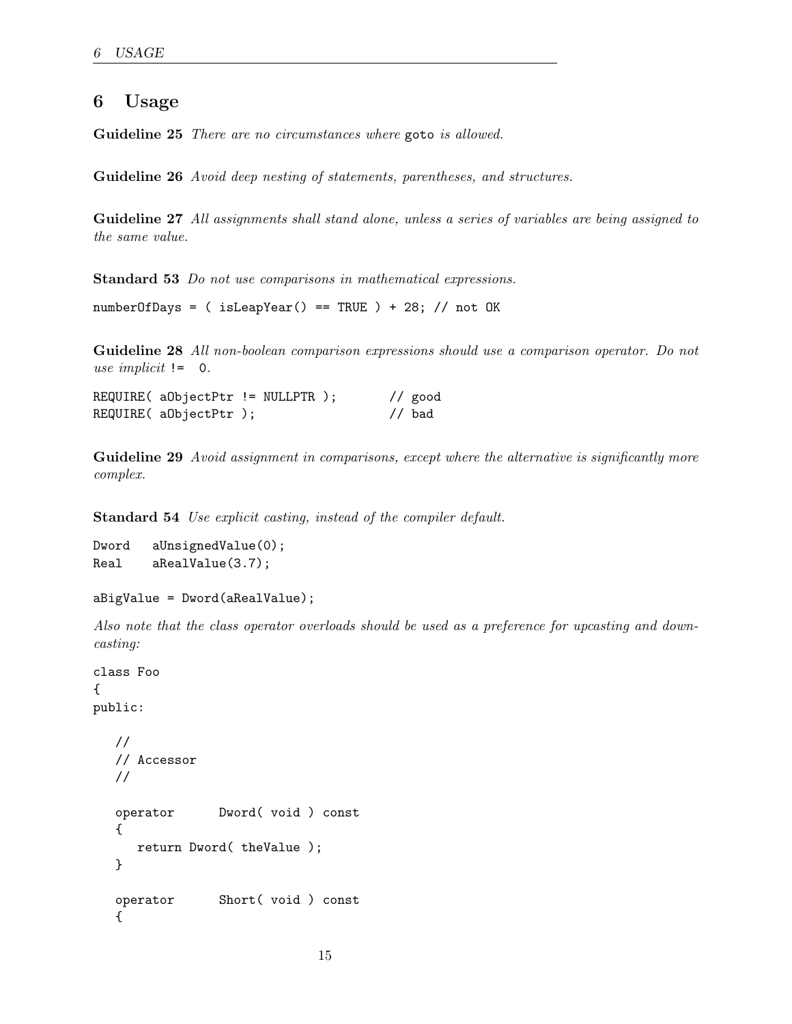# <span id="page-14-0"></span>6 Usage

Guideline 25 There are no circumstances where goto is allowed.

Guideline 26 Avoid deep nesting of statements, parentheses, and structures.

Guideline 27 All assignments shall stand alone, unless a series of variables are being assigned to the same value.

Standard 53 Do not use comparisons in mathematical expressions.

numberOfDays = ( isLeapYear() == TRUE ) + 28; // not OK

Guideline 28 All non-boolean comparison expressions should use a comparison operator. Do not use implicit  $!=$  0.

| $REQUIRE($ aObjectPtr != NULLPTR $);$ |  |  | $//$ good |
|---------------------------------------|--|--|-----------|
| REQUIRE( aObjectPtr);                 |  |  | $//$ bad  |

Guideline 29 Avoid assignment in comparisons, except where the alternative is significantly more complex.

Standard 54 Use explicit casting, instead of the compiler default.

```
Dword aUnsignedValue(0);
Real aRealValue(3.7);
```

```
aBigValue = Dword(aRealValue);
```
Also note that the class operator overloads should be used as a preference for upcasting and downcasting:

```
class Foo
{
public:
  //
  // Accessor
  //
  operator Dword( void ) const
   {
     return Dword( theValue );
  }
  operator Short( void ) const
  {
```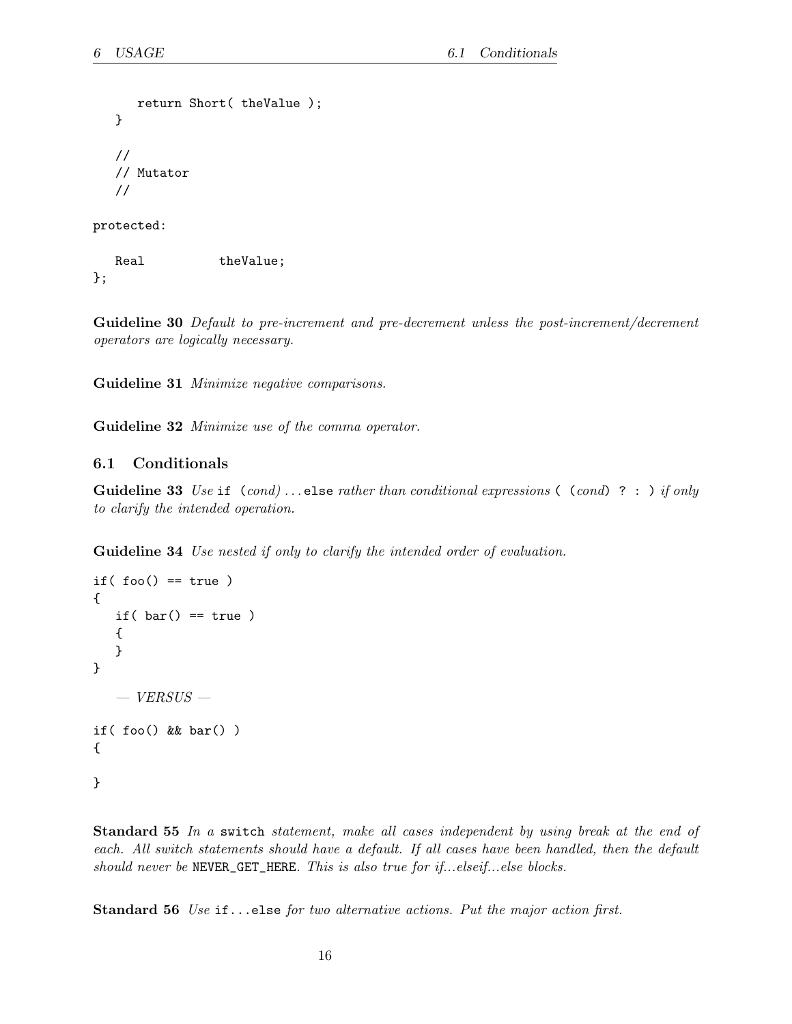```
return Short( theValue );
   }
   //
   // Mutator
   //
protected:
```
Real theValue; };

Guideline 30 Default to pre-increment and pre-decrement unless the post-increment/decrement operators are logically necessary.

Guideline 31 Minimize negative comparisons.

Guideline 32 Minimize use of the comma operator.

#### <span id="page-15-0"></span>6.1 Conditionals

**Guideline 33** Use if  $(cond) \dots$  else rather than conditional expressions ( $(cond)$ ? : ) if only to clarify the intended operation.

Guideline 34 Use nested if only to clarify the intended order of evaluation.

```
if(foo() == true){
  if( bar() == true){
   }
}
   - VERSUS -if( foo() && bar() )
{
}
```
Standard 55 In a switch statement, make all cases independent by using break at the end of each. All switch statements should have a default. If all cases have been handled, then the default should never be NEVER\_GET\_HERE. This is also true for if...elseif...else blocks.

Standard 56 Use if...else for two alternative actions. Put the major action first.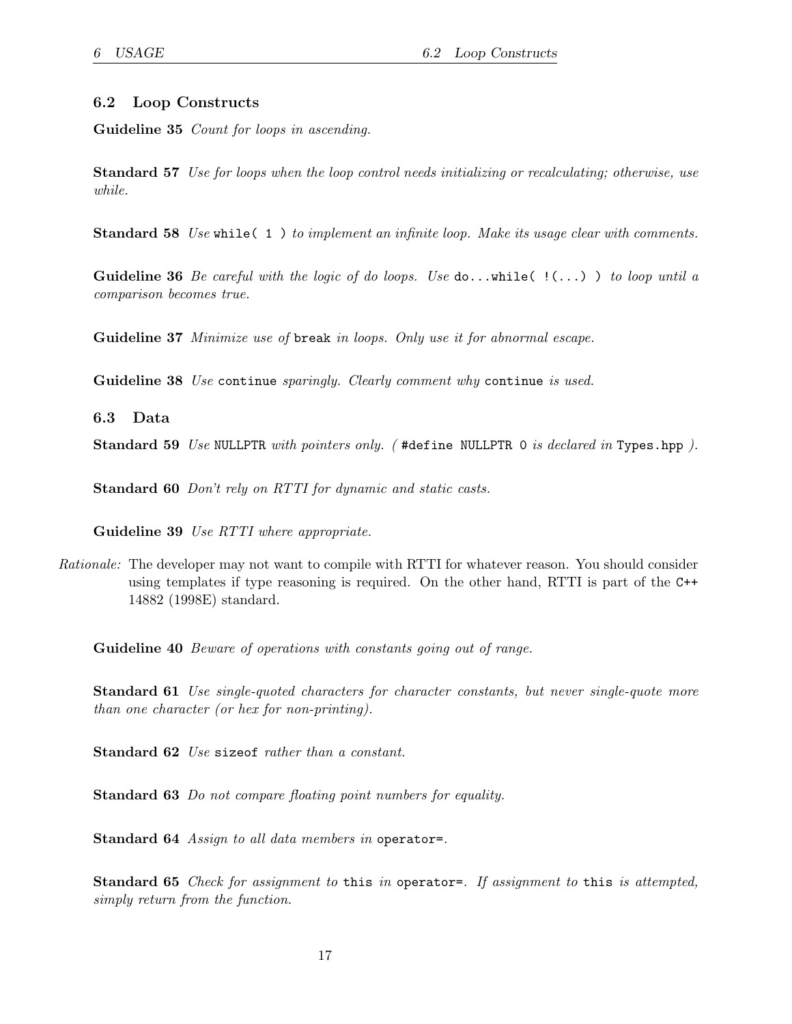#### <span id="page-16-0"></span>6.2 Loop Constructs

Guideline 35 *Count for loops in ascending*.

Standard 57 Use for loops when the loop control needs initializing or recalculating; otherwise, use while.

Standard 58 Use while(1) to implement an infinite loop. Make its usage clear with comments.

**Guideline 36** Be careful with the logic of do loops. Use  $\text{do} \ldots \text{while} ( \ldots )$  ) to loop until a comparison becomes true.

Guideline 37 Minimize use of break in loops. Only use it for abnormal escape.

Guideline 38 Use continue sparingly. Clearly comment why continue is used.

<span id="page-16-1"></span>6.3 Data

Standard 59 Use NULLPTR with pointers only. (#define NULLPTR 0 is declared in Types.hpp).

Standard 60 Don't rely on RTTI for dynamic and static casts.

Guideline 39 Use RTTI where appropriate.

Rationale: The developer may not want to compile with RTTI for whatever reason. You should consider using templates if type reasoning is required. On the other hand, RTTI is part of the C++ 14882 (1998E) standard.

Guideline 40 *Beware of operations with constants going out of range.* 

Standard 61 Use single-quoted characters for character constants, but never single-quote more than one character (or hex for non-printing).

Standard 62 Use sizeof rather than a constant.

Standard 63 Do not compare floating point numbers for equality.

Standard 64 Assign to all data members in operator=.

Standard 65 Check for assignment to this in operator=. If assignment to this is attempted, simply return from the function.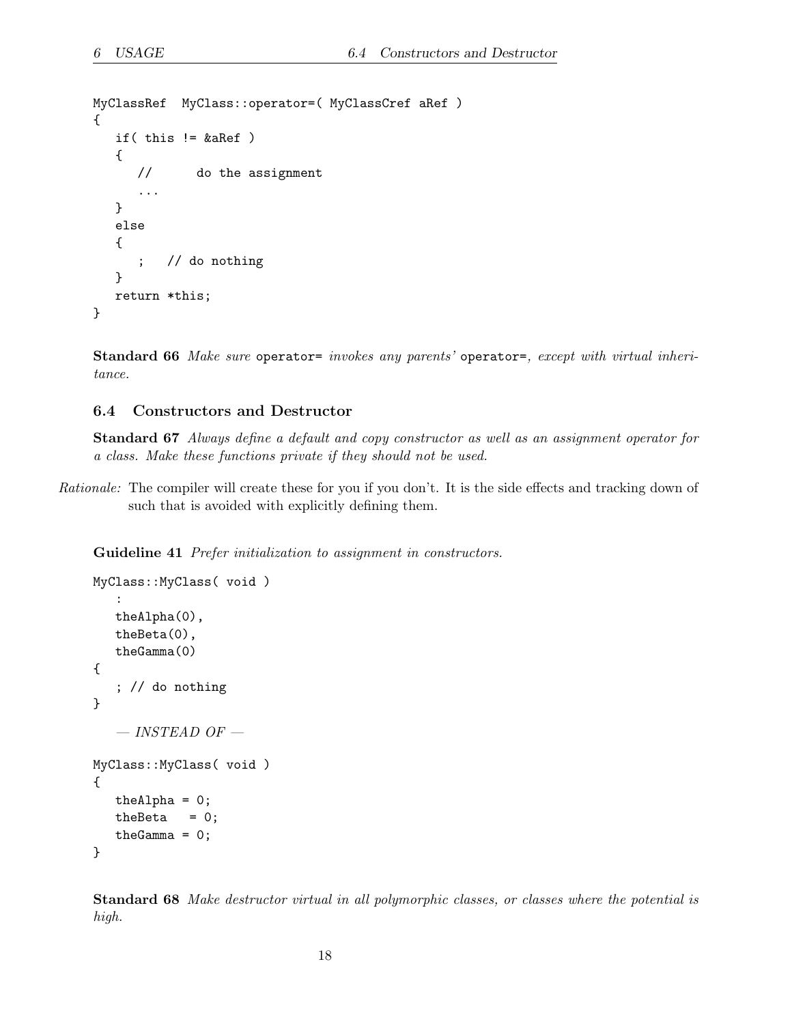```
MyClassRef MyClass::operator=( MyClassCref aRef )
{
   if( this != &aRef )
   {
      // do the assignment
      ...
   }
   else
   {
      ; // do nothing
   }
   return *this;
}
```
Standard 66 Make sure operator= invokes any parents' operator=, except with virtual inheritance.

#### <span id="page-17-0"></span>6.4 Constructors and Destructor

Standard 67 Always define a default and copy constructor as well as an assignment operator for a class. Make these functions private if they should not be used.

Rationale: The compiler will create these for you if you don't. It is the side effects and tracking down of such that is avoided with explicitly defining them.

Guideline 41 Prefer initialization to assignment in constructors.

```
MyClass::MyClass( void )
   :
   theAlpha(0),
   theBeta(0),
   theGamma(0)
{
   ; // do nothing
}
   - INSTEAD OF -MyClass::MyClass( void )
{
   the<br>Alpha = 0;
   the<br>Beta = 0;
   the<br>Gamma = 0;
}
```
Standard 68 Make destructor virtual in all polymorphic classes, or classes where the potential is high.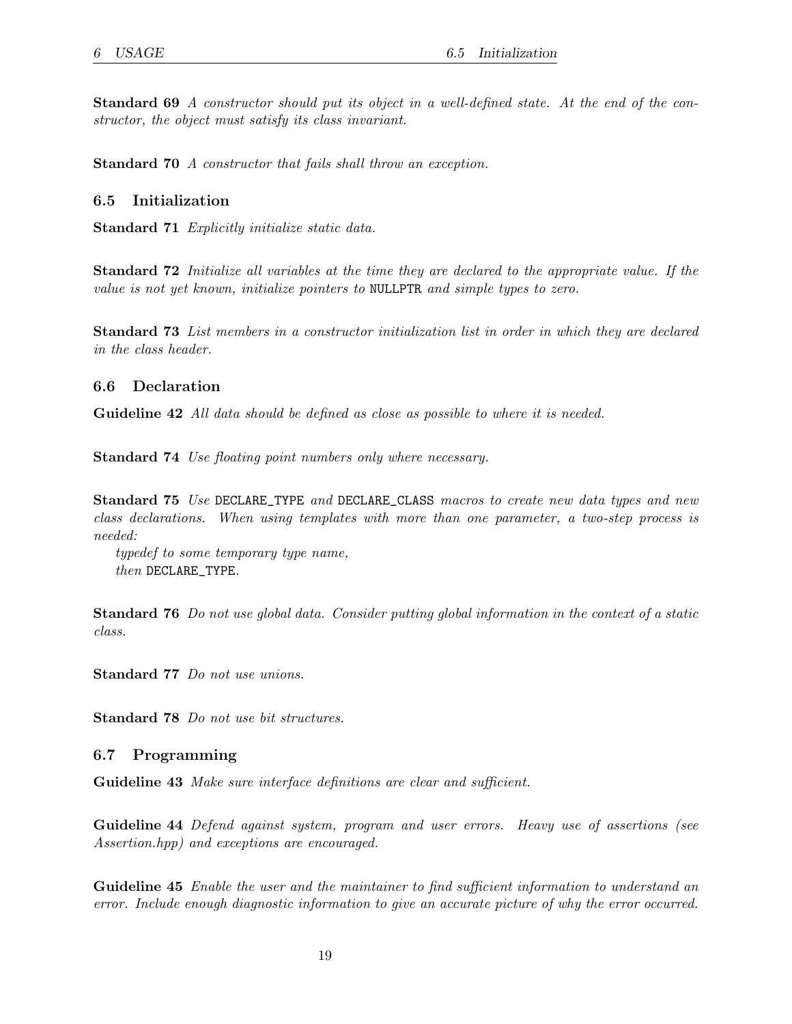Standard 69 A constructor should put its object in a well-defined state. At the end of the constructor, the object must satisfy its class invariant.

Standard 70 A constructor that fails shall throw an exception.

#### <span id="page-18-0"></span>6.5 Initialization

Standard 71 Explicitly initialize static data.

Standard 72 Initialize all variables at the time they are declared to the appropriate value. If the value is not yet known, initialize pointers to NULLPTR and simple types to zero.

Standard 73 List members in a constructor initialization list in order in which they are declared in the class header.

#### <span id="page-18-1"></span>6.6 Declaration

Guideline 42 All data should be defined as close as possible to where it is needed.

Standard 74 Use floating point numbers only where necessary.

Standard 75 Use DECLARE\_TYPE and DECLARE\_CLASS macros to create new data types and new class declarations. When using templates with more than one parameter, a two-step process is needed:

typedef to some temporary type name, then DECLARE\_TYPE.

Standard 76 Do not use global data. Consider putting global information in the context of a static class.

Standard 77 Do not use unions.

Standard 78 Do not use bit structures.

#### <span id="page-18-2"></span>6.7 Programming

Guideline 43 Make sure interface definitions are clear and sufficient.

Guideline 44 Defend against system, program and user errors. Heavy use of assertions (see Assertion.hpp) and exceptions are encouraged.

Guideline 45 Enable the user and the maintainer to find sufficient information to understand an error. Include enough diagnostic information to give an accurate picture of why the error occurred.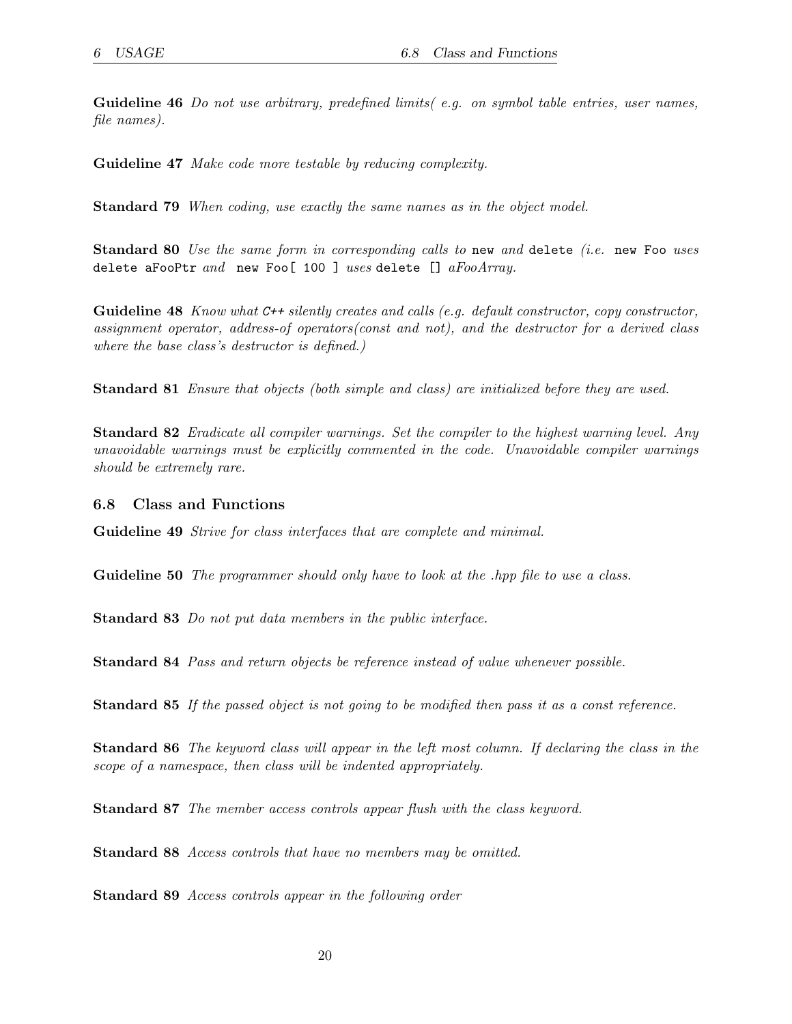<span id="page-19-1"></span>Guideline 46 Do not use arbitrary, predefined limits (e.g. on symbol table entries, user names, file names).

Guideline 47 Make code more testable by reducing complexity.

Standard 79 When coding, use exactly the same names as in the object model.

Standard 80 Use the same form in corresponding calls to new and delete (i.e. new Foo uses delete aFooPtr and new Foo[ 100 ] uses delete []  $aFooArray$ .

**Guideline 48** Know what  $C++$  silently creates and calls (e.g. default constructor, copy constructor, assignment operator, address-of operators(const and not), and the destructor for a derived class where the base class's destructor is defined.)

Standard 81 Ensure that objects (both simple and class) are initialized before they are used.

**Standard 82** Eradicate all compiler warnings. Set the compiler to the highest warning level. Any unavoidable warnings must be explicitly commented in the code. Unavoidable compiler warnings should be extremely rare.

#### <span id="page-19-0"></span>6.8 Class and Functions

Guideline 49 Strive for class interfaces that are complete and minimal.

Guideline 50 The programmer should only have to look at the .hpp file to use a class.

Standard 83 Do not put data members in the public interface.

Standard 84 Pass and return objects be reference instead of value whenever possible.

Standard 85 If the passed object is not going to be modified then pass it as a const reference.

Standard 86 The keyword class will appear in the left most column. If declaring the class in the scope of a namespace, then class will be indented appropriately.

Standard 87 The member access controls appear flush with the class keyword.

Standard 88 Access controls that have no members may be omitted.

Standard 89 Access controls appear in the following order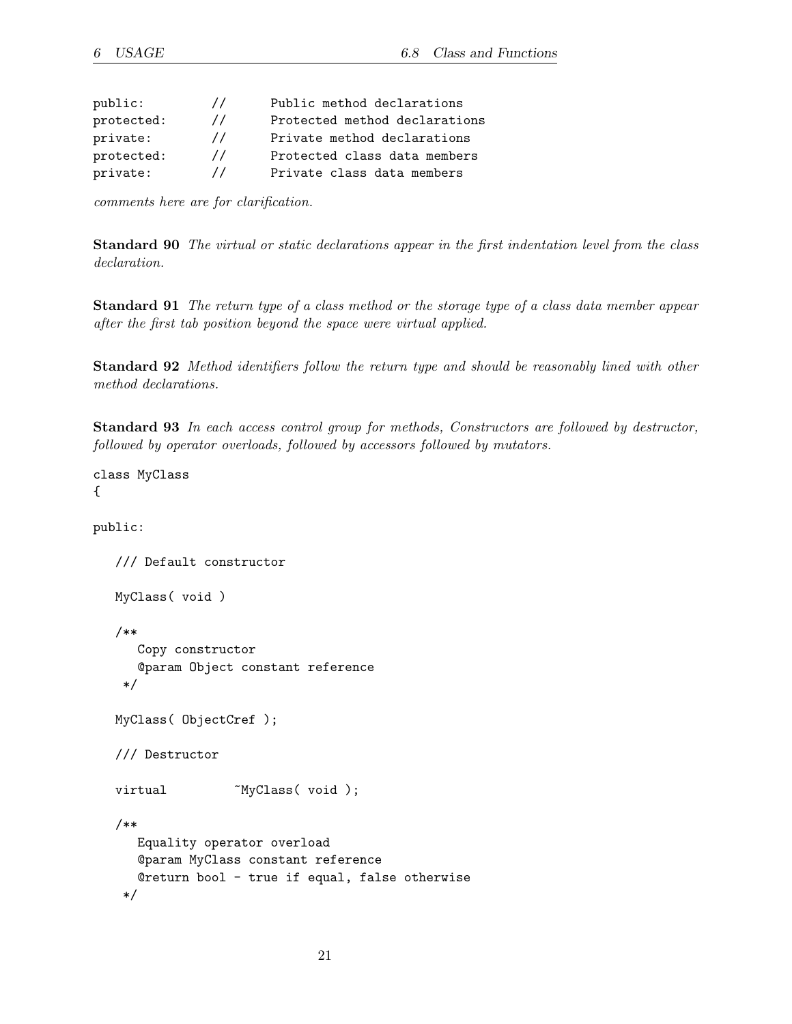| public:    | $\prime\prime$ | Public method declarations    |
|------------|----------------|-------------------------------|
| protected: | $\prime\prime$ | Protected method declarations |
| private:   | $\prime\prime$ | Private method declarations   |
| protected: | $\prime\prime$ | Protected class data members  |
| private:   | $\prime\prime$ | Private class data members    |

comments here are for clarification.

Standard 90 The virtual or static declarations appear in the first indentation level from the class declaration.

Standard 91 The return type of a class method or the storage type of a class data member appear after the first tab position beyond the space were virtual applied.

Standard 92 Method identifiers follow the return type and should be reasonably lined with other method declarations.

Standard 93 In each access control group for methods, Constructors are followed by destructor, followed by operator overloads, followed by accessors followed by mutators.

```
class MyClass
{
```
public:

```
/// Default constructor
MyClass( void )
/**
   Copy constructor
   @param Object constant reference
 */
MyClass( ObjectCref );
/// Destructor
virtual MyClass( void );
/**
   Equality operator overload
   @param MyClass constant reference
   @return bool - true if equal, false otherwise
 */
```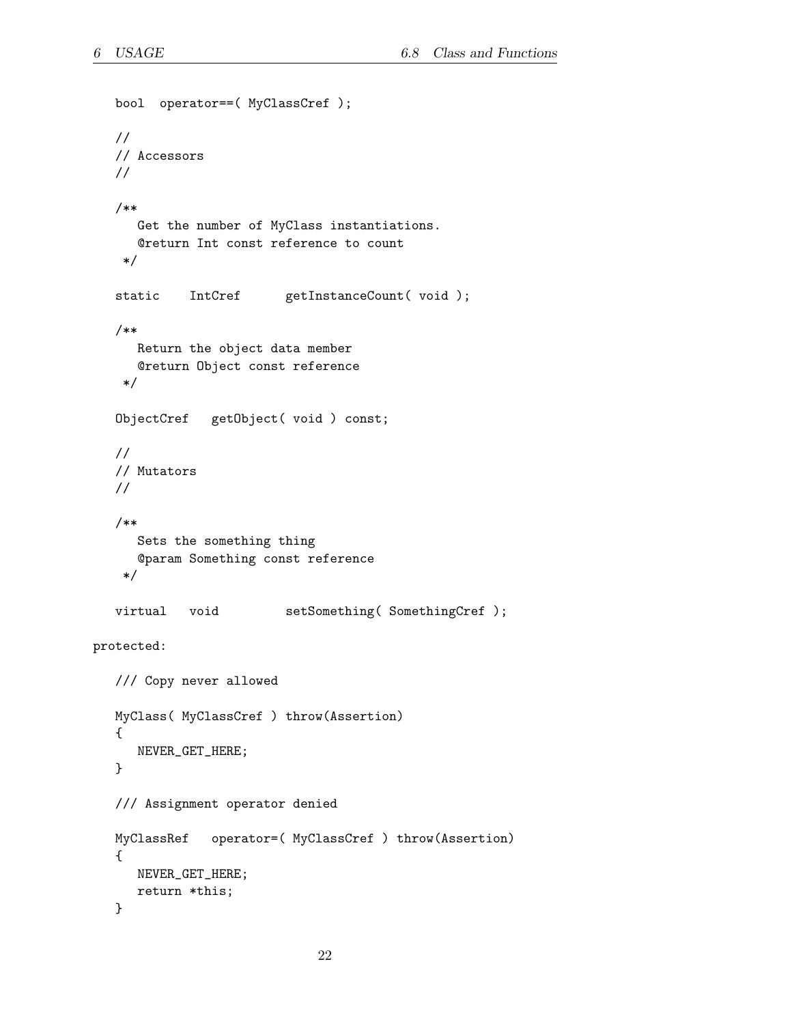```
bool operator==( MyClassCref );
  //
  // Accessors
  //
  /**
      Get the number of MyClass instantiations.
     @return Int const reference to count
    */
  static IntCref getInstanceCount( void );
  /**
     Return the object data member
     @return Object const reference
    */
  ObjectCref getObject( void ) const;
  //
  // Mutators
  //
  /**
     Sets the something thing
     @param Something const reference
    */
  virtual void setSomething( SomethingCref );
protected:
  /// Copy never allowed
  MyClass( MyClassCref ) throw(Assertion)
   {
     NEVER_GET_HERE;
  }
  /// Assignment operator denied
  MyClassRef operator=( MyClassCref ) throw(Assertion)
  {
     NEVER_GET_HERE;
     return *this;
  }
```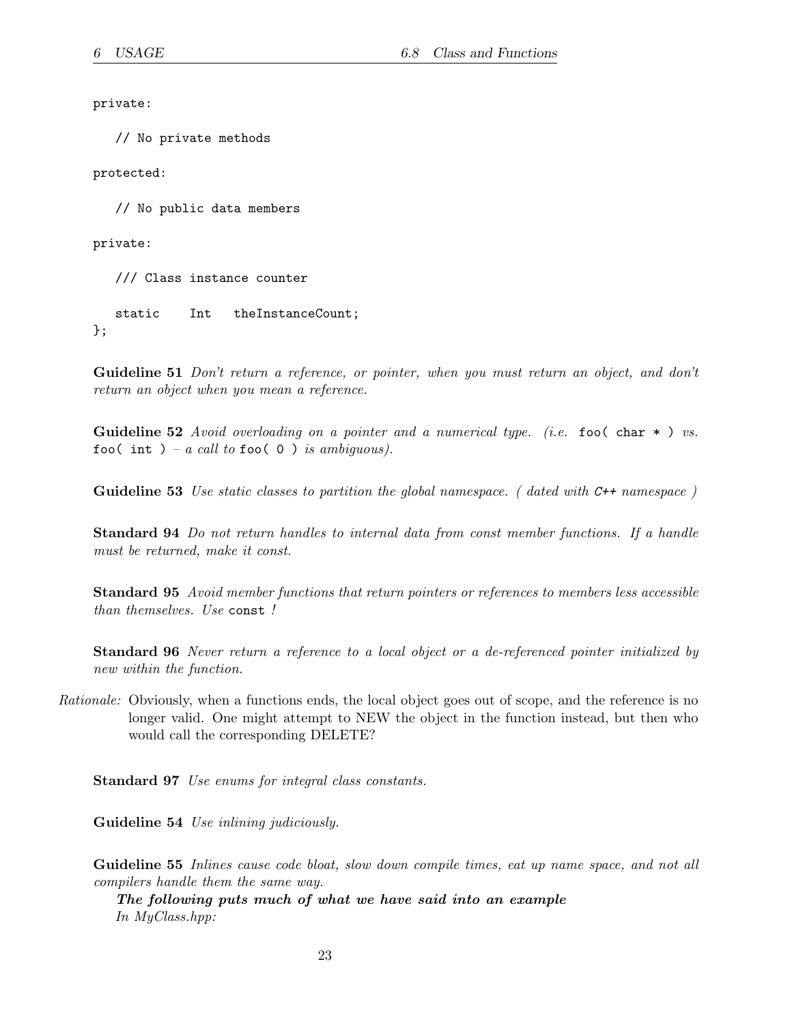private:

// No private methods

protected:

// No public data members

private:

/// Class instance counter

static Int theInstanceCount; };

Guideline 51 Don't return a reference, or pointer, when you must return an object, and don't return an object when you mean a reference.

**Guideline 52** Avoid overloading on a pointer and a numerical type. (i.e. fool char  $\ast$ ) vs. foo( int ) – a call to foo( 0) is ambiguous).

Guideline 53 Use static classes to partition the global namespace. (dated with C++ namespace)

Standard 94 Do not return handles to internal data from const member functions. If a handle must be returned, make it const.

Standard 95 Avoid member functions that return pointers or references to members less accessible than themselves. Use const !

Standard 96 Never return a reference to a local object or a de-referenced pointer initialized by new within the function.

Rationale: Obviously, when a functions ends, the local object goes out of scope, and the reference is no longer valid. One might attempt to NEW the object in the function instead, but then who would call the corresponding DELETE?

Standard 97 Use enums for integral class constants.

Guideline 54 Use inlining judiciously.

Guideline 55 Inlines cause code bloat, slow down compile times, eat up name space, and not all compilers handle them the same way.

The following puts much of what we have said into an example In MyClass.hpp: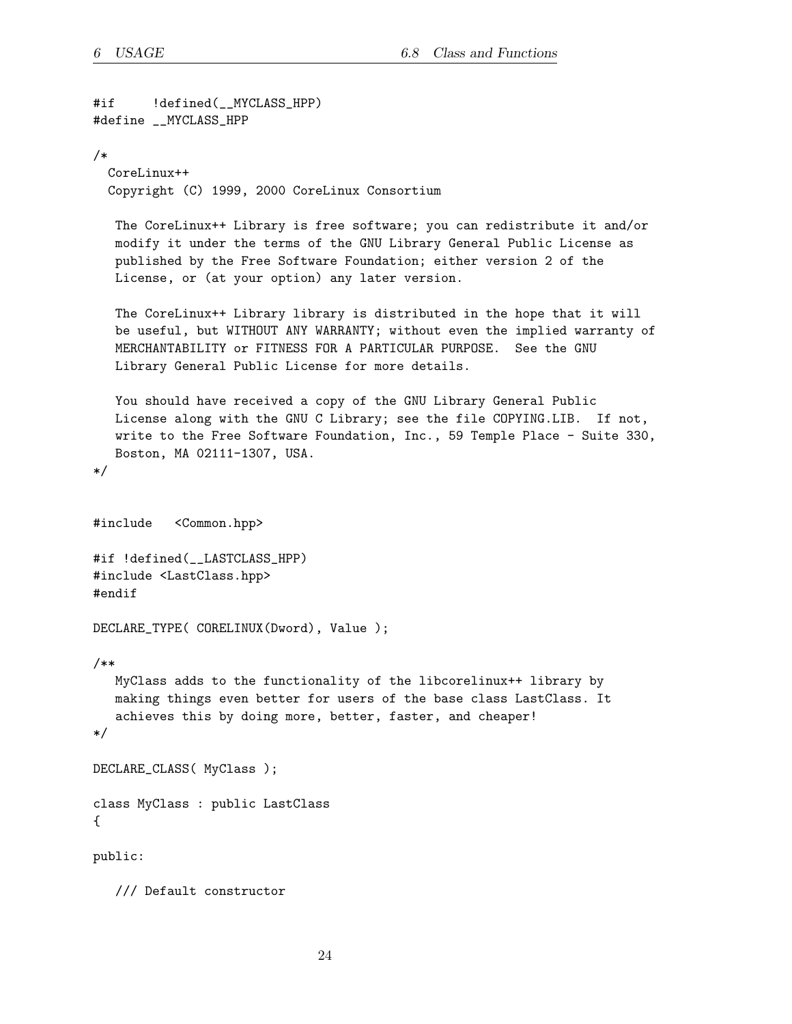```
#if !defined(__MYCLASS_HPP)
#define __MYCLASS_HPP
/*
 CoreLinux++
 Copyright (C) 1999, 2000 CoreLinux Consortium
  The CoreLinux++ Library is free software; you can redistribute it and/or
  modify it under the terms of the GNU Library General Public License as
  published by the Free Software Foundation; either version 2 of the
  License, or (at your option) any later version.
  The CoreLinux++ Library library is distributed in the hope that it will
  be useful, but WITHOUT ANY WARRANTY; without even the implied warranty of
  MERCHANTABILITY or FITNESS FOR A PARTICULAR PURPOSE. See the GNU
  Library General Public License for more details.
  You should have received a copy of the GNU Library General Public
  License along with the GNU C Library; see the file COPYING.LIB. If not,
  write to the Free Software Foundation, Inc., 59 Temple Place - Suite 330,
  Boston, MA 02111-1307, USA.
*/
#include <Common.hpp>
#if !defined(__LASTCLASS_HPP)
#include <LastClass.hpp>
#endif
DECLARE_TYPE( CORELINUX(Dword), Value );
/**
  MyClass adds to the functionality of the libcorelinux++ library by
  making things even better for users of the base class LastClass. It
  achieves this by doing more, better, faster, and cheaper!
*/
DECLARE_CLASS( MyClass );
class MyClass : public LastClass
{
public:
  /// Default constructor
```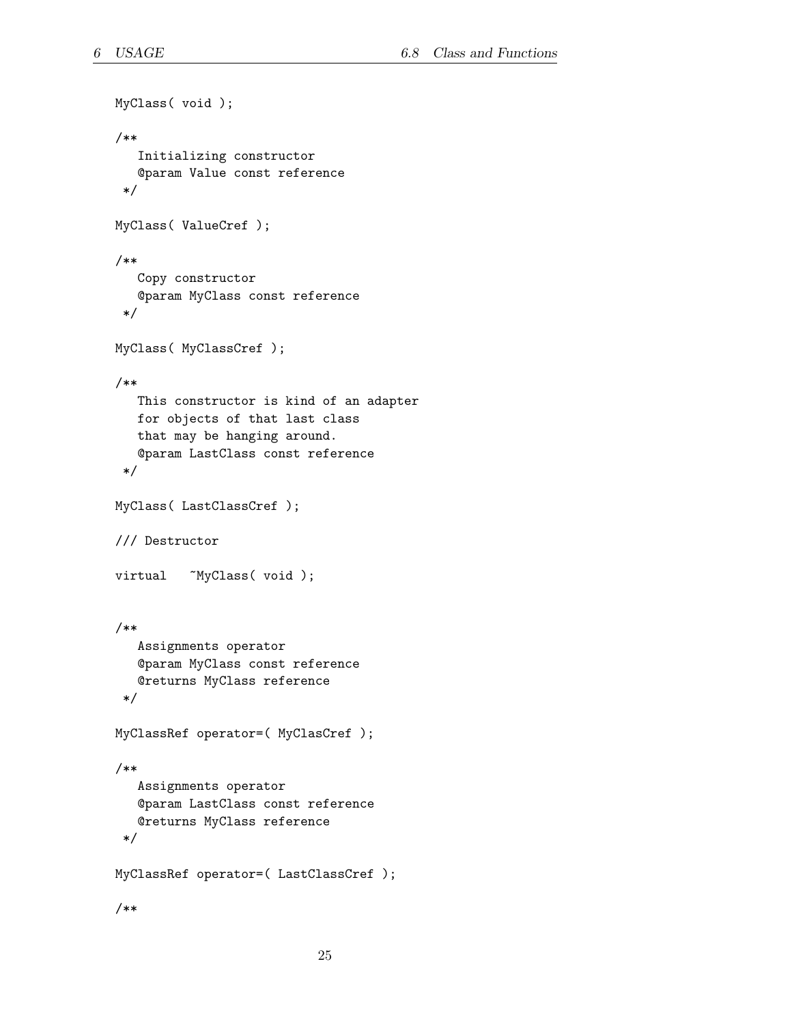```
MyClass( void );
/**
   Initializing constructor
   @param Value const reference
 */
MyClass( ValueCref );
/**
   Copy constructor
   @param MyClass const reference
 */
MyClass( MyClassCref );
/**
   This constructor is kind of an adapter
   for objects of that last class
   that may be hanging around.
   @param LastClass const reference
 */
MyClass( LastClassCref );
/// Destructor
virtual ~MyClass(void);
/**
   Assignments operator
   @param MyClass const reference
   @returns MyClass reference
 */
MyClassRef operator=( MyClasCref );
/**
   Assignments operator
   @param LastClass const reference
   @returns MyClass reference
 */
MyClassRef operator=( LastClassCref );
/**
```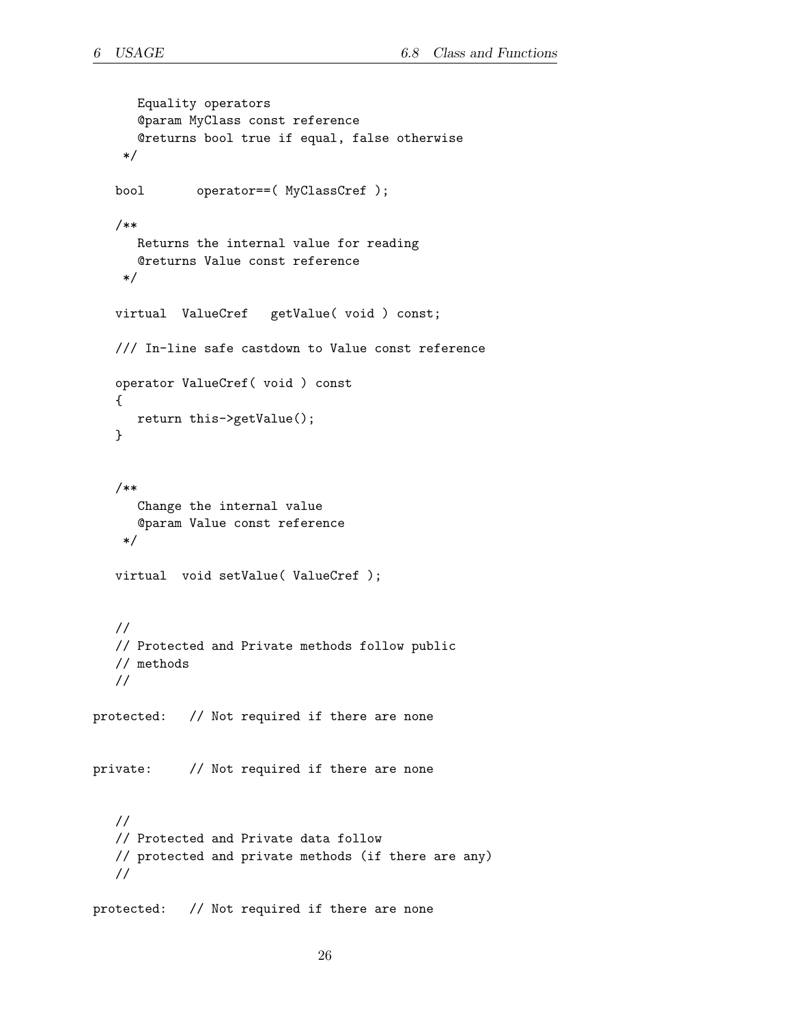```
Equality operators
      @param MyClass const reference
      @returns bool true if equal, false otherwise
    */
  bool operator==( MyClassCref );
  /**
     Returns the internal value for reading
     @returns Value const reference
    */
  virtual ValueCref getValue( void ) const;
  /// In-line safe castdown to Value const reference
  operator ValueCref( void ) const
   {
     return this->getValue();
  }
  /**
     Change the internal value
      @param Value const reference
    */
  virtual void setValue( ValueCref );
  //
  // Protected and Private methods follow public
  // methods
  //
protected: // Not required if there are none
private: // Not required if there are none
  //
  // Protected and Private data follow
  // protected and private methods (if there are any)
  //
protected: // Not required if there are none
```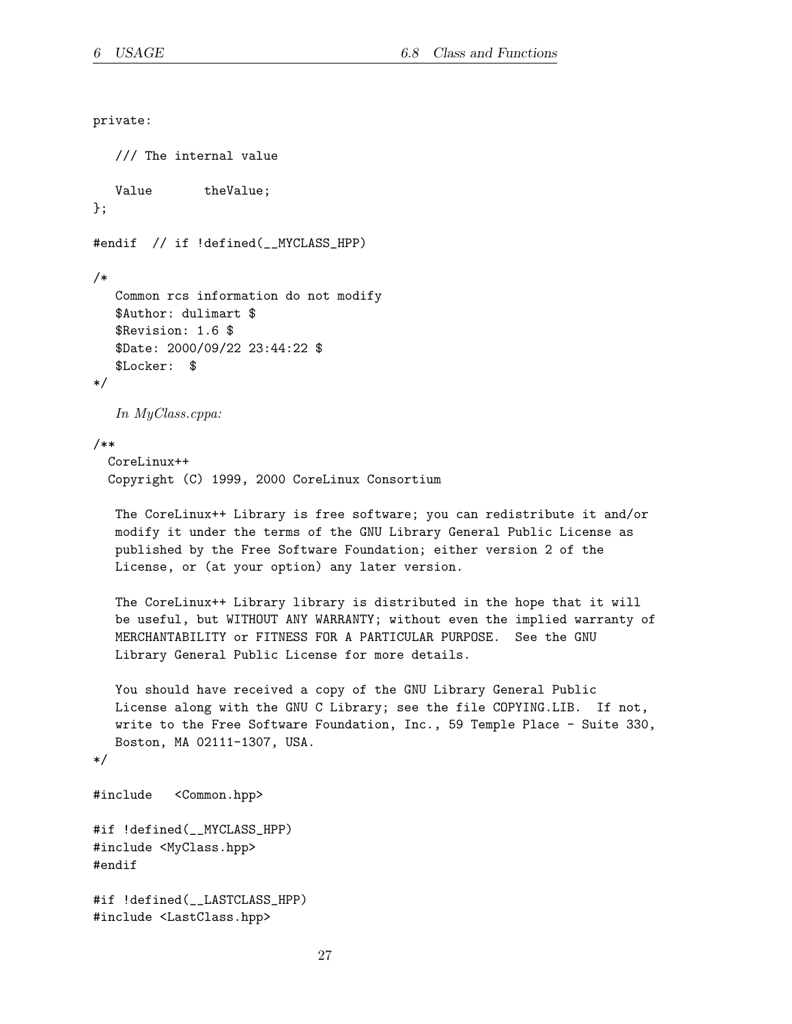```
private:
  /// The internal value
  Value theValue;
};
#endif // if !defined(__MYCLASS_HPP)
/*
  Common rcs information do not modify
  $Author: dulimart $
  $Revision: 1.6 $
  $Date: 2000/09/22 23:44:22 $
  $Locker: $
*/
  In MyClass.cppa:
/**
 CoreLinux++
 Copyright (C) 1999, 2000 CoreLinux Consortium
  The CoreLinux++ Library is free software; you can redistribute it and/or
  modify it under the terms of the GNU Library General Public License as
  published by the Free Software Foundation; either version 2 of the
  License, or (at your option) any later version.
  The CoreLinux++ Library library is distributed in the hope that it will
  be useful, but WITHOUT ANY WARRANTY; without even the implied warranty of
  MERCHANTABILITY or FITNESS FOR A PARTICULAR PURPOSE. See the GNU
  Library General Public License for more details.
  You should have received a copy of the GNU Library General Public
  License along with the GNU C Library; see the file COPYING.LIB. If not,
  write to the Free Software Foundation, Inc., 59 Temple Place - Suite 330,
  Boston, MA 02111-1307, USA.
*/
#include <Common.hpp>
#if !defined(__MYCLASS_HPP)
#include <MyClass.hpp>
#endif
#if !defined(__LASTCLASS_HPP)
#include <LastClass.hpp>
```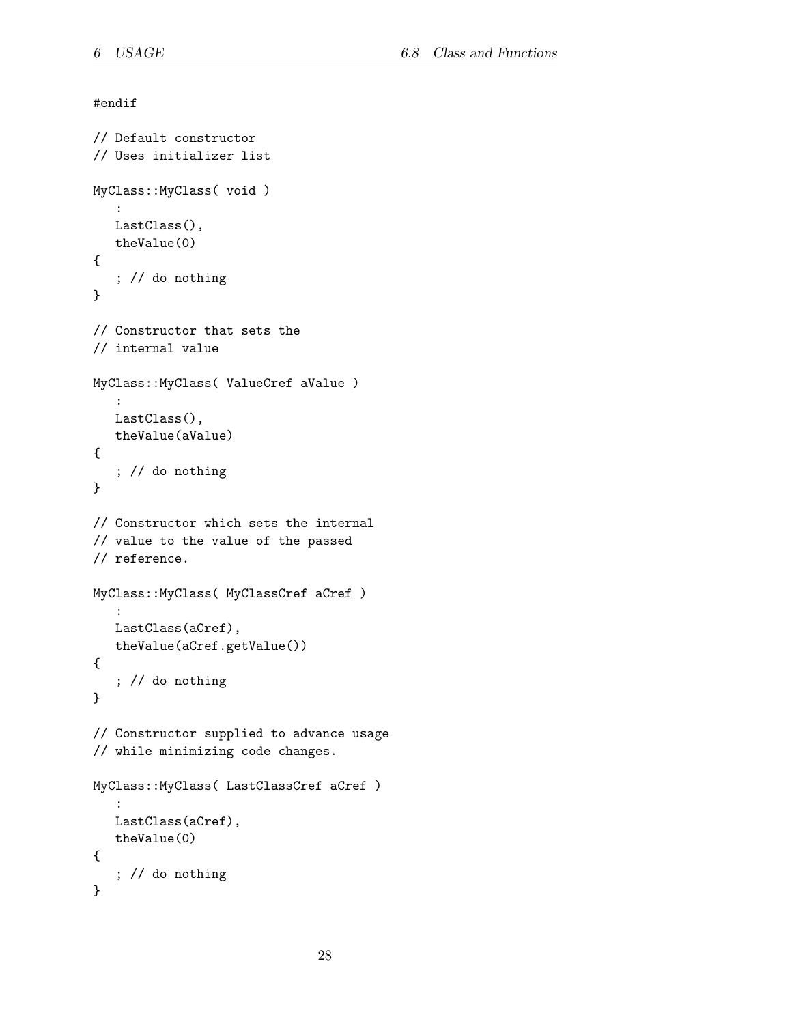```
#endif
// Default constructor
// Uses initializer list
MyClass::MyClass( void )
   :
  LastClass(),
   theValue(0)
{
   ; // do nothing
}
// Constructor that sets the
// internal value
MyClass::MyClass( ValueCref aValue )
   :
  LastClass(),
   theValue(aValue)
{
   ; // do nothing
}
// Constructor which sets the internal
// value to the value of the passed
// reference.
MyClass::MyClass( MyClassCref aCref )
   :
  LastClass(aCref),
   theValue(aCref.getValue())
{
   ; // do nothing
}
// Constructor supplied to advance usage
// while minimizing code changes.
MyClass::MyClass( LastClassCref aCref )
   :
   LastClass(aCref),
   theValue(0)
{
   ; // do nothing
}
```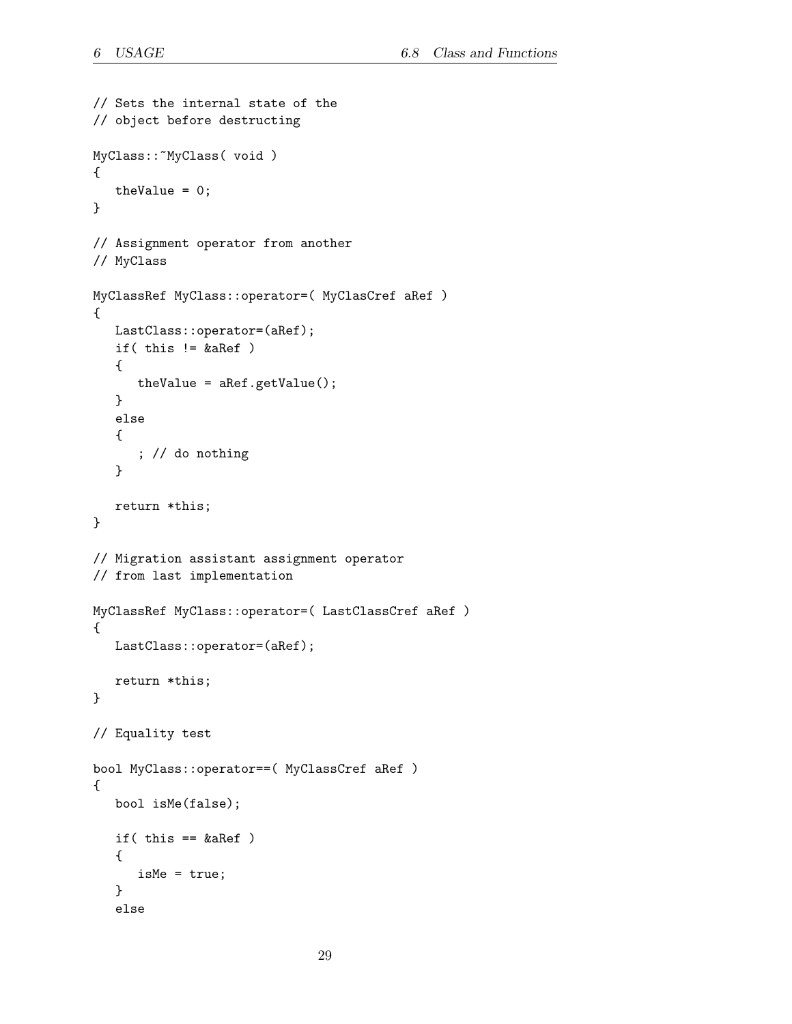```
// Sets the internal state of the
// object before destructing
MyClass::~MyClass( void )
{
   theValue = 0;
}
// Assignment operator from another
// MyClass
MyClassRef MyClass::operator=( MyClasCref aRef )
{
  LastClass::operator=(aRef);
   if( this != &aRef )
   {
      theValue = aRef.getValue();
   }
   else
   {
      ; // do nothing
   }
   return *this;
}
// Migration assistant assignment operator
// from last implementation
MyClassRef MyClass::operator=( LastClassCref aRef )
{
   LastClass::operator=(aRef);
   return *this;
}
// Equality test
bool MyClass::operator==( MyClassCref aRef )
{
   bool isMe(false);
   if(this == \&aRef)
   {
      isMe = true;
   }
   else
```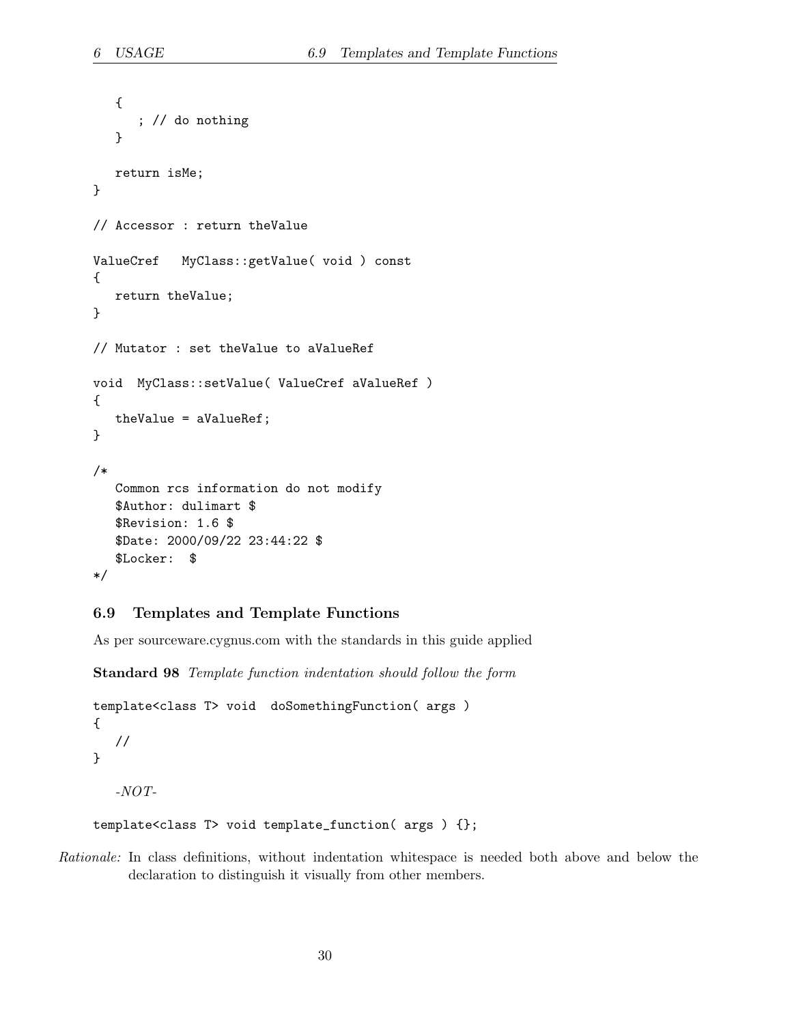```
{
      ; // do nothing
  }
  return isMe;
}
// Accessor : return theValue
ValueCref MyClass::getValue( void ) const
{
  return theValue;
}
// Mutator : set theValue to aValueRef
void MyClass::setValue( ValueCref aValueRef )
{
  theValue = aValueRef;
}
/*
  Common rcs information do not modify
  $Author: dulimart $
  $Revision: 1.6 $
  $Date: 2000/09/22 23:44:22 $
  $Locker: $
*/
```
#### <span id="page-29-0"></span>6.9 Templates and Template Functions

As per sourceware.cygnus.com with the standards in this guide applied

Standard 98 Template function indentation should follow the form

```
template<class T> void doSomethingFunction( args )
{
   //
}
  -NOT-
```
template<class T> void template\_function( args ) {};

Rationale: In class definitions, without indentation whitespace is needed both above and below the declaration to distinguish it visually from other members.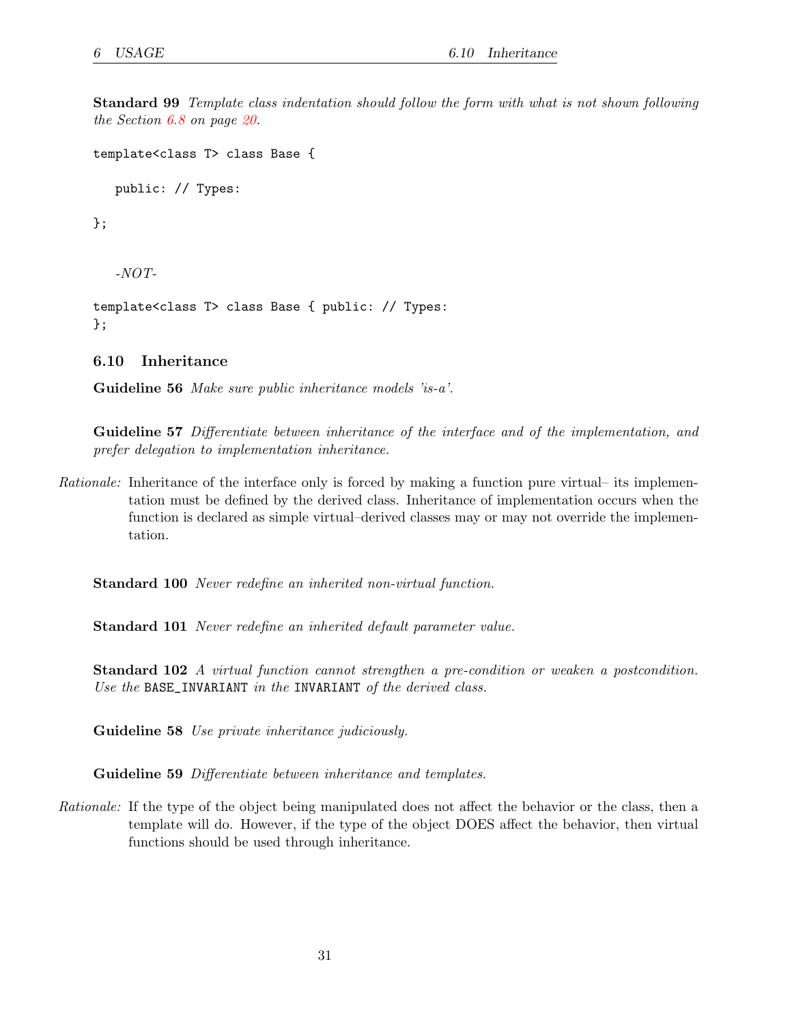Standard 99 Template class indentation should follow the form with what is not shown following the Section [6.8](#page-19-0) on page [20](#page-19-1).

```
template<class T> class Base {
```
public: // Types:

};

-NOT-

```
template<class T> class Base { public: // Types:
};
```
#### <span id="page-30-0"></span>6.10 Inheritance

Guideline 56 Make sure public inheritance models 'is-a'.

Guideline 57 Differentiate between inheritance of the interface and of the implementation, and prefer delegation to implementation inheritance.

Rationale: Inheritance of the interface only is forced by making a function pure virtual– its implementation must be defined by the derived class. Inheritance of implementation occurs when the function is declared as simple virtual–derived classes may or may not override the implementation.

Standard 100 Never redefine an inherited non-virtual function.

Standard 101 Never redefine an inherited default parameter value.

Standard 102 A virtual function cannot strengthen a pre-condition or weaken a postcondition. Use the BASE\_INVARIANT in the INVARIANT of the derived class.

Guideline 58 Use private inheritance judiciously.

Guideline 59 Differentiate between inheritance and templates.

Rationale: If the type of the object being manipulated does not affect the behavior or the class, then a template will do. However, if the type of the object DOES affect the behavior, then virtual functions should be used through inheritance.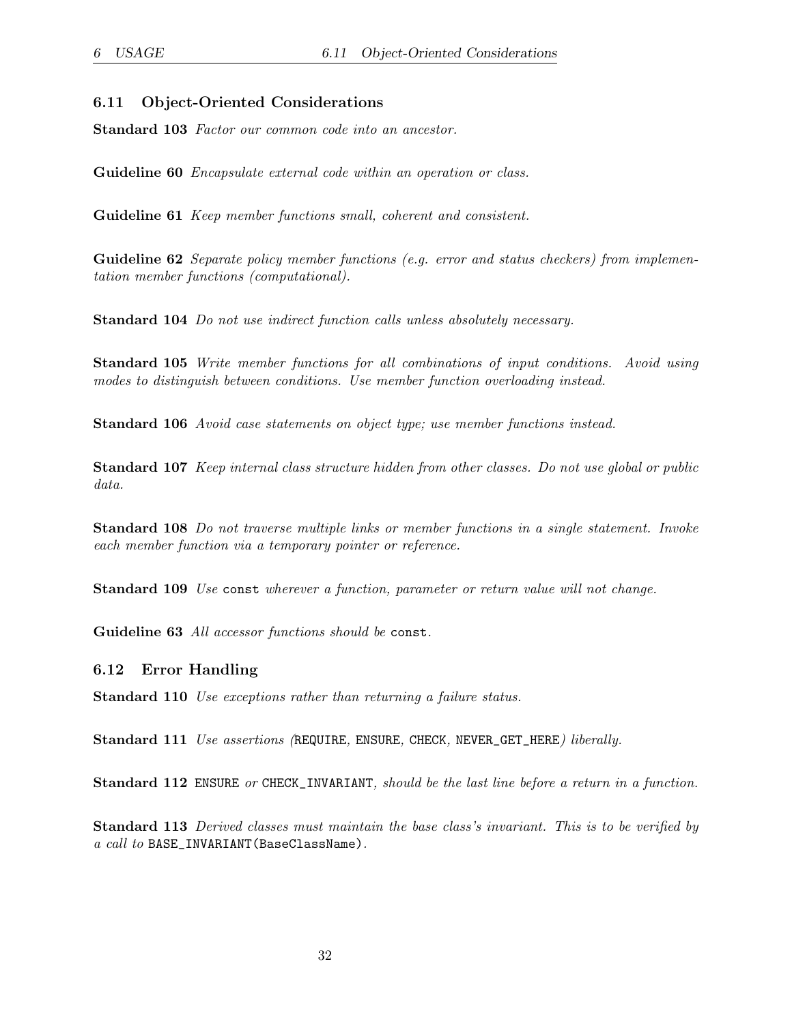### <span id="page-31-0"></span>6.11 Object-Oriented Considerations

Standard 103 Factor our common code into an ancestor.

Guideline 60 *Encapsulate external code within an operation or class.* 

Guideline 61 *Keep member functions small, coherent and consistent.* 

**Guideline 62** Separate policy member functions (e.g. error and status checkers) from implementation member functions (computational).

Standard 104 Do not use indirect function calls unless absolutely necessary.

Standard 105 Write member functions for all combinations of input conditions. Avoid using modes to distinguish between conditions. Use member function overloading instead.

Standard 106 Avoid case statements on object type; use member functions instead.

Standard 107 Keep internal class structure hidden from other classes. Do not use global or public data.

Standard 108 Do not traverse multiple links or member functions in a single statement. Invoke each member function via a temporary pointer or reference.

Standard 109 Use const wherever a function, parameter or return value will not change.

Guideline 63 All accessor functions should be const.

#### <span id="page-31-1"></span>6.12 Error Handling

Standard 110 Use exceptions rather than returning a failure status.

Standard 111 Use assertions (REQUIRE, ENSURE, CHECK, NEVER\_GET\_HERE) liberally.

Standard 112 ENSURE or CHECK\_INVARIANT, should be the last line before a return in a function.

Standard 113 Derived classes must maintain the base class's invariant. This is to be verified by a call to BASE\_INVARIANT(BaseClassName).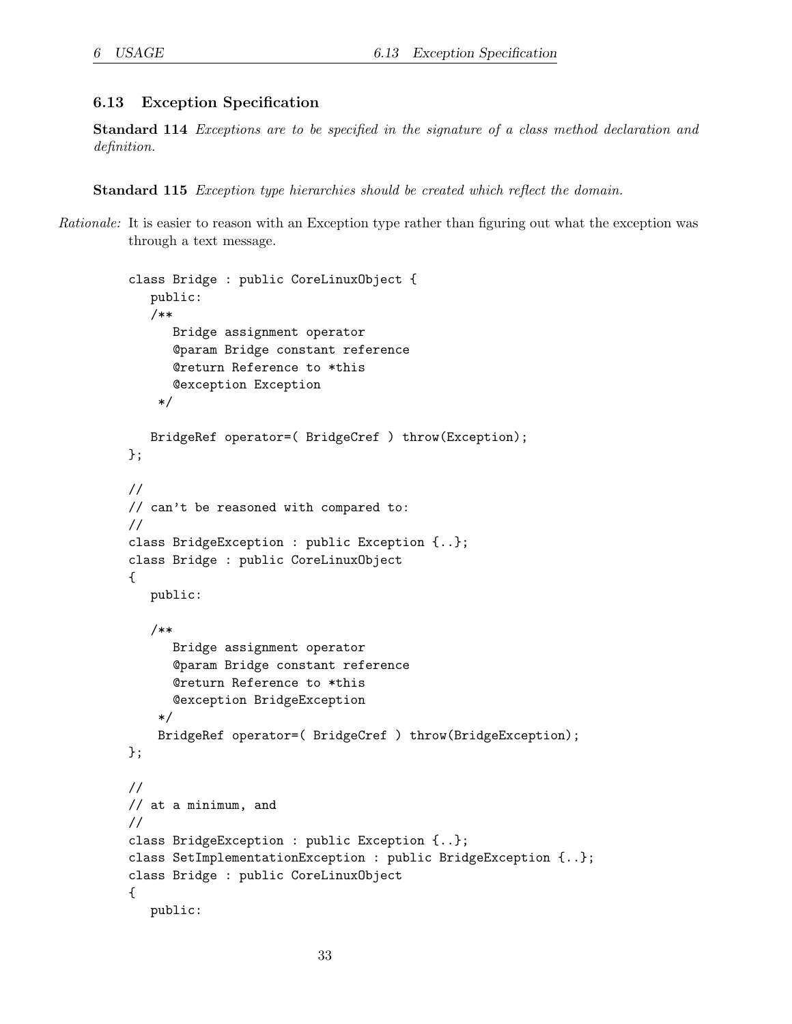#### <span id="page-32-0"></span>6.13 Exception Specification

Standard 114 Exceptions are to be specified in the signature of a class method declaration and definition.

Standard 115 Exception type hierarchies should be created which reflect the domain.

Rationale: It is easier to reason with an Exception type rather than figuring out what the exception was through a text message.

```
class Bridge : public CoreLinuxObject {
   public:
   /**
      Bridge assignment operator
      @param Bridge constant reference
      @return Reference to *this
      @exception Exception
    */
   BridgeRef operator=( BridgeCref ) throw(Exception);
};
//
// can't be reasoned with compared to:
//
class BridgeException : public Exception {..};
class Bridge : public CoreLinuxObject
{
   public:
   /**
      Bridge assignment operator
      @param Bridge constant reference
      @return Reference to *this
      @exception BridgeException
    */
    BridgeRef operator=( BridgeCref ) throw(BridgeException);
};
//
// at a minimum, and
//
class BridgeException : public Exception {..};
class SetImplementationException : public BridgeException {..};
class Bridge : public CoreLinuxObject
{
   public:
```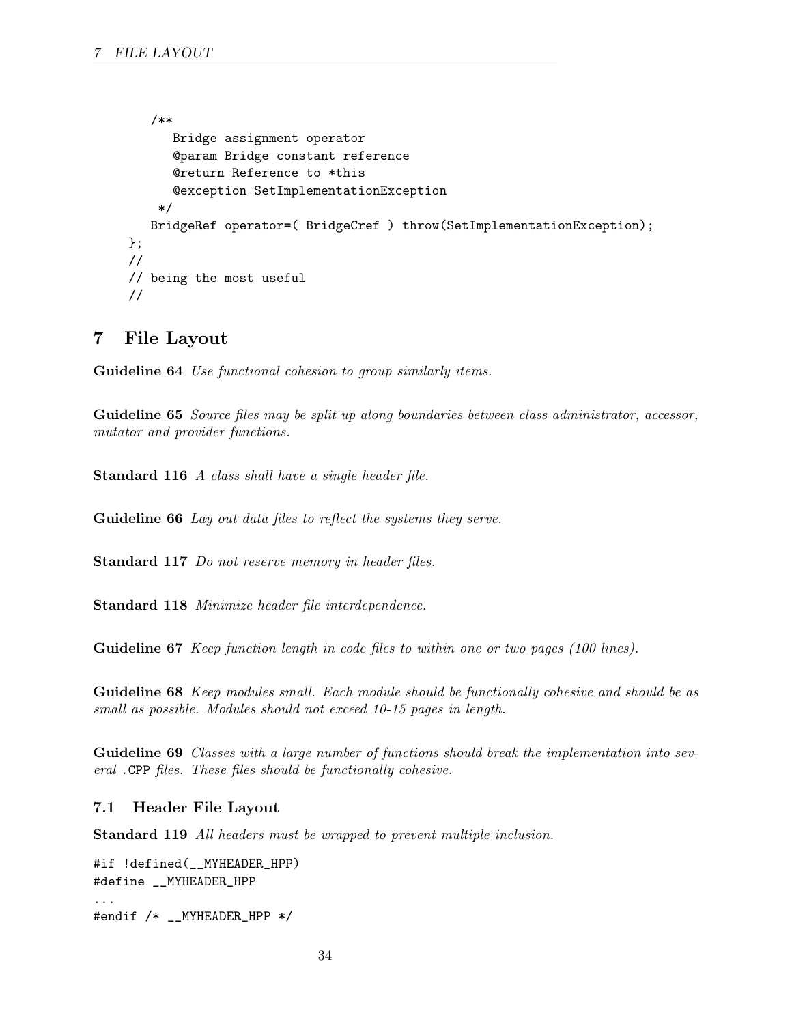```
/**
      Bridge assignment operator
      @param Bridge constant reference
      @return Reference to *this
      @exception SetImplementationException
    */
   BridgeRef operator=( BridgeCref ) throw(SetImplementationException);
};
//
// being the most useful
//
```
### <span id="page-33-0"></span>7 File Layout

Guideline 64 Use functional cohesion to group similarly items.

Guideline 65 Source files may be split up along boundaries between class administrator, accessor, mutator and provider functions.

Standard 116 A class shall have a single header file.

Guideline 66 Lay out data files to reflect the systems they serve.

Standard 117 Do not reserve memory in header files.

Standard 118 Minimize header file interdependence.

Guideline 67 Keep function length in code files to within one or two pages (100 lines).

Guideline 68 Keep modules small. Each module should be functionally cohesive and should be as small as possible. Modules should not exceed 10-15 pages in length.

Guideline 69 Classes with a large number of functions should break the implementation into several .CPP files. These files should be functionally cohesive.

#### <span id="page-33-1"></span>7.1 Header File Layout

Standard 119 All headers must be wrapped to prevent multiple inclusion.

```
#if !defined(__MYHEADER_HPP)
#define __MYHEADER_HPP
...
#endif /* __MYHEADER_HPP */
```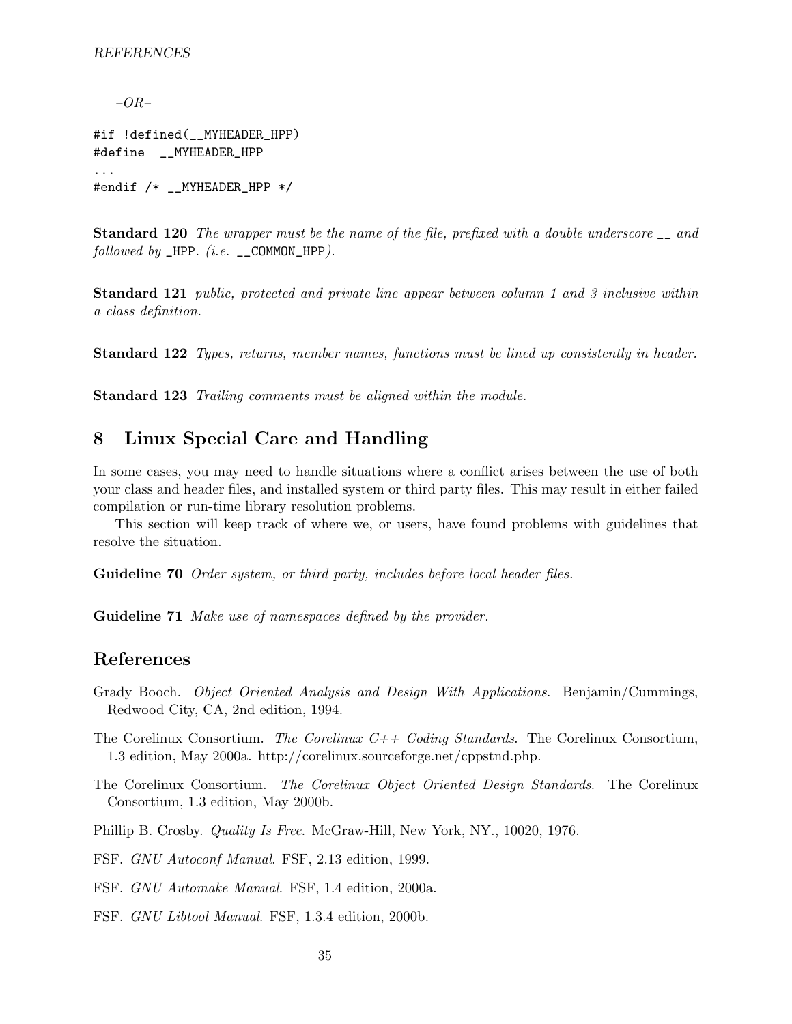$-OR-$ 

#if !defined(\_\_MYHEADER\_HPP) #define \_\_MYHEADER\_HPP ... #endif /\* \_\_MYHEADER\_HPP \*/

Standard 120 The wrapper must be the name of the file, prefixed with a double underscore \_\_ and followed by  $_HPP.$  (i.e.  $_COMMON_HPP$ ).

Standard 121 *public, protected and private line appear between column 1 and 3 inclusive within* a class definition.

Standard 122 Types, returns, member names, functions must be lined up consistently in header.

Standard 123 Trailing comments must be aligned within the module.

### <span id="page-34-0"></span>8 Linux Special Care and Handling

In some cases, you may need to handle situations where a conflict arises between the use of both your class and header files, and installed system or third party files. This may result in either failed compilation or run-time library resolution problems.

This section will keep track of where we, or users, have found problems with guidelines that resolve the situation.

Guideline 70 Order system, or third party, includes before local header files.

Guideline 71 Make use of namespaces defined by the provider.

### References

Grady Booch. Object Oriented Analysis and Design With Applications. Benjamin/Cummings, Redwood City, CA, 2nd edition, 1994.

The Corelinux Consortium. The Corelinux  $C++$  Coding Standards. The Corelinux Consortium, 1.3 edition, May 2000a. http://corelinux.sourceforge.net/cppstnd.php.

The Corelinux Consortium. The Corelinux Object Oriented Design Standards. The Corelinux Consortium, 1.3 edition, May 2000b.

Phillip B. Crosby. Quality Is Free. McGraw-Hill, New York, NY., 10020, 1976.

FSF. GNU Autoconf Manual. FSF, 2.13 edition, 1999.

FSF. GNU Automake Manual. FSF, 1.4 edition, 2000a.

FSF. GNU Libtool Manual. FSF, 1.3.4 edition, 2000b.